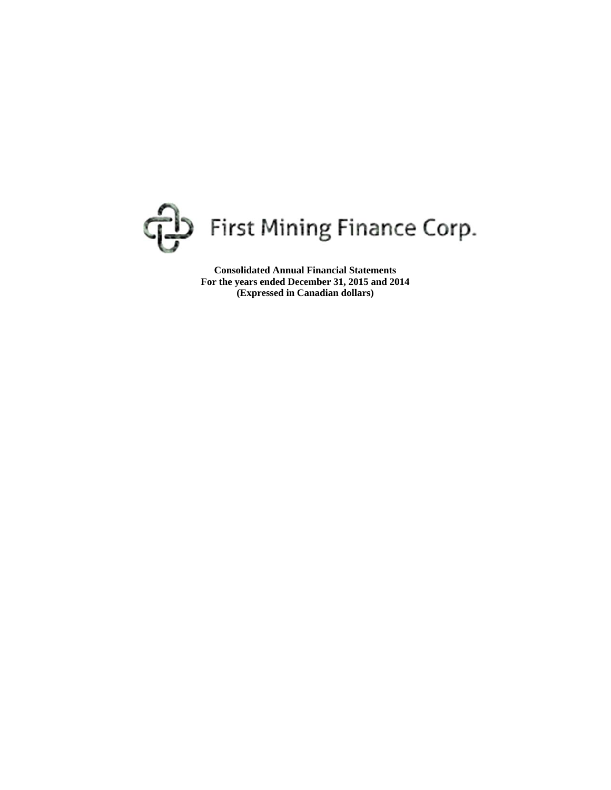

**Consolidated Annual Financial Statements For the years ended December 31, 2015 and 2014 (Expressed in Canadian dollars)**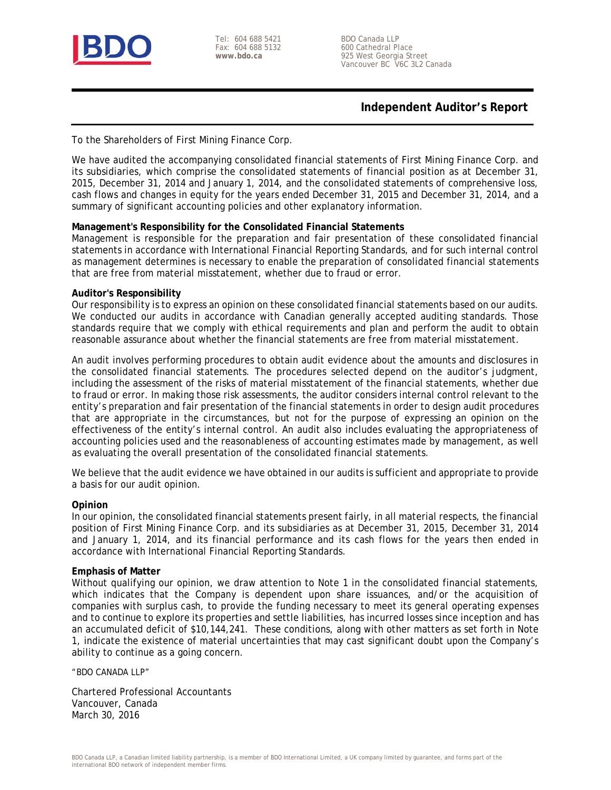

Tel: 604 688 5421 Fax: 604 688 5132 **www.bdo.ca** 

BDO Canada LLP 600 Cathedral Place 925 West Georgia Street Vancouver BC V6C 3L2 Canada

## **Independent Auditor's Report**

To the Shareholders of First Mining Finance Corp.

We have audited the accompanying consolidated financial statements of First Mining Finance Corp. and its subsidiaries, which comprise the consolidated statements of financial position as at December 31, 2015, December 31, 2014 and January 1, 2014, and the consolidated statements of comprehensive loss, cash flows and changes in equity for the years ended December 31, 2015 and December 31, 2014, and a summary of significant accounting policies and other explanatory information.

### **Management's Responsibility for the Consolidated Financial Statements**

Management is responsible for the preparation and fair presentation of these consolidated financial statements in accordance with International Financial Reporting Standards, and for such internal control as management determines is necessary to enable the preparation of consolidated financial statements that are free from material misstatement, whether due to fraud or error.

### **Auditor's Responsibility**

Our responsibility is to express an opinion on these consolidated financial statements based on our audits. We conducted our audits in accordance with Canadian generally accepted auditing standards. Those standards require that we comply with ethical requirements and plan and perform the audit to obtain reasonable assurance about whether the financial statements are free from material misstatement.

An audit involves performing procedures to obtain audit evidence about the amounts and disclosures in the consolidated financial statements. The procedures selected depend on the auditor's judgment, including the assessment of the risks of material misstatement of the financial statements, whether due to fraud or error. In making those risk assessments, the auditor considers internal control relevant to the entity's preparation and fair presentation of the financial statements in order to design audit procedures that are appropriate in the circumstances, but not for the purpose of expressing an opinion on the effectiveness of the entity's internal control. An audit also includes evaluating the appropriateness of accounting policies used and the reasonableness of accounting estimates made by management, as well as evaluating the overall presentation of the consolidated financial statements.

We believe that the audit evidence we have obtained in our audits is sufficient and appropriate to provide a basis for our audit opinion.

#### **Opinion**

In our opinion, the consolidated financial statements present fairly, in all material respects, the financial position of First Mining Finance Corp. and its subsidiaries as at December 31, 2015, December 31, 2014 and January 1, 2014, and its financial performance and its cash flows for the years then ended in accordance with International Financial Reporting Standards.

#### **Emphasis of Matter**

Without qualifying our opinion, we draw attention to Note 1 in the consolidated financial statements, which indicates that the Company is dependent upon share issuances, and/or the acquisition of companies with surplus cash, to provide the funding necessary to meet its general operating expenses and to continue to explore its properties and settle liabilities, has incurred losses since inception and has an accumulated deficit of \$10,144,241. These conditions, along with other matters as set forth in Note 1, indicate the existence of material uncertainties that may cast significant doubt upon the Company's ability to continue as a going concern.

"BDO CANADA LLP"

Chartered Professional Accountants Vancouver, Canada March 30, 2016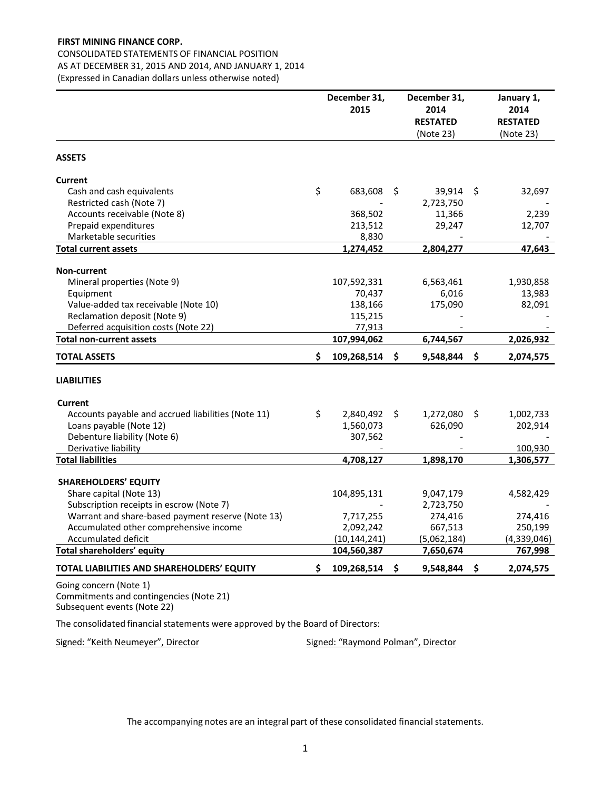# CONSOLIDATED STATEMENTS OF FINANCIAL POSITION

AS AT DECEMBER 31, 2015 AND 2014, AND JANUARY 1, 2014

(Expressed in Canadian dollars unless otherwise noted)

|                                                                   | December 31,<br>2015  |     | December 31,<br>2014<br><b>RESTATED</b> |     | January 1,<br>2014<br><b>RESTATED</b> |
|-------------------------------------------------------------------|-----------------------|-----|-----------------------------------------|-----|---------------------------------------|
|                                                                   |                       |     | (Note 23)                               |     | (Note 23)                             |
| <b>ASSETS</b>                                                     |                       |     |                                         |     |                                       |
| <b>Current</b>                                                    |                       |     |                                         |     |                                       |
| Cash and cash equivalents                                         | \$<br>683,608         | \$  | 39,914                                  | \$  | 32,697                                |
| Restricted cash (Note 7)                                          |                       |     | 2,723,750                               |     |                                       |
| Accounts receivable (Note 8)                                      | 368,502               |     | 11,366                                  |     | 2,239                                 |
| Prepaid expenditures                                              | 213,512               |     | 29,247                                  |     | 12,707                                |
| Marketable securities                                             | 8,830                 |     |                                         |     |                                       |
| <b>Total current assets</b>                                       | 1,274,452             |     | 2,804,277                               |     | 47,643                                |
|                                                                   |                       |     |                                         |     |                                       |
| <b>Non-current</b>                                                |                       |     |                                         |     |                                       |
| Mineral properties (Note 9)                                       | 107,592,331<br>70,437 |     | 6,563,461<br>6,016                      |     | 1,930,858<br>13,983                   |
| Equipment                                                         |                       |     |                                         |     |                                       |
| Value-added tax receivable (Note 10)                              | 138,166               |     | 175,090                                 |     | 82,091                                |
| Reclamation deposit (Note 9)                                      | 115,215               |     |                                         |     |                                       |
| Deferred acquisition costs (Note 22)                              | 77,913                |     |                                         |     |                                       |
| <b>Total non-current assets</b>                                   | 107,994,062           |     | 6,744,567                               |     | 2,026,932                             |
| <b>TOTAL ASSETS</b>                                               | \$<br>109,268,514     | S.  | 9,548,844                               | S   | 2,074,575                             |
| <b>LIABILITIES</b>                                                |                       |     |                                         |     |                                       |
| Current                                                           |                       |     |                                         |     |                                       |
| Accounts payable and accrued liabilities (Note 11)                | \$<br>2,840,492       | \$. | 1,272,080                               | -\$ | 1,002,733                             |
| Loans payable (Note 12)                                           | 1,560,073             |     | 626,090                                 |     | 202,914                               |
| Debenture liability (Note 6)                                      | 307,562               |     |                                         |     |                                       |
| Derivative liability                                              |                       |     |                                         |     | 100,930                               |
| <b>Total liabilities</b>                                          | 4,708,127             |     | 1,898,170                               |     | 1,306,577                             |
|                                                                   |                       |     |                                         |     |                                       |
| <b>SHAREHOLDERS' EQUITY</b>                                       |                       |     |                                         |     |                                       |
| Share capital (Note 13)                                           | 104,895,131           |     | 9,047,179                               |     | 4,582,429                             |
| Subscription receipts in escrow (Note 7)                          |                       |     | 2,723,750                               |     |                                       |
| Warrant and share-based payment reserve (Note 13)                 | 7,717,255             |     | 274,416                                 |     | 274,416                               |
| Accumulated other comprehensive income                            | 2,092,242             |     | 667,513                                 |     | 250,199                               |
| Accumulated deficit                                               | (10, 144, 241)        |     | (5,062,184)                             |     | (4,339,046)                           |
| Total shareholders' equity                                        | 104,560,387           |     | 7,650,674                               |     | 767,998                               |
| TOTAL LIABILITIES AND SHAREHOLDERS' EQUITY                        | \$<br>109,268,514     | \$. | 9,548,844                               | \$  | 2,074,575                             |
| Going concern (Note 1)<br>Commitments and contingencies (Note 21) |                       |     |                                         |     |                                       |

Subsequent events (Note 22)

The consolidated financial statements were approved by the Board of Directors:

Signed: "Keith Neumeyer", Director Signed: "Raymond Polman", Director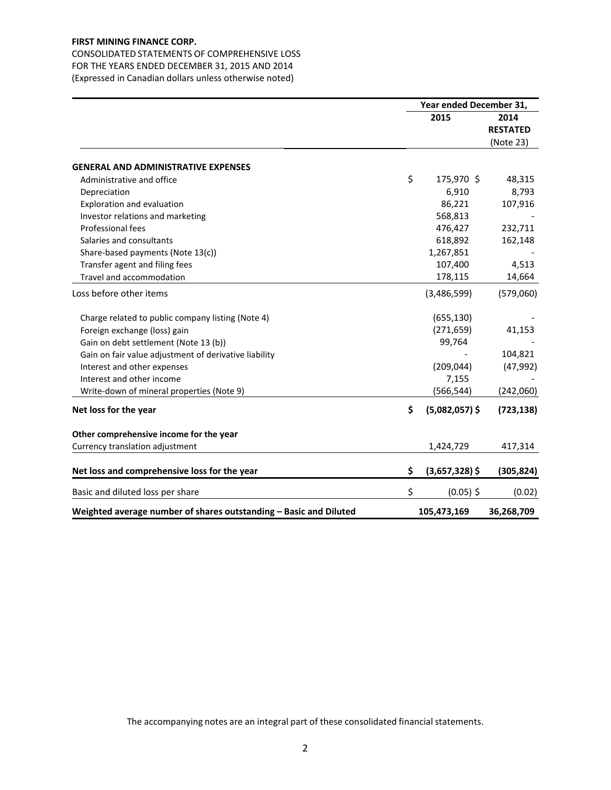CONSOLIDATED STATEMENTS OF COMPREHENSIVE LOSS FOR THE YEARS ENDED DECEMBER 31, 2015 AND 2014 (Expressed in Canadian dollars unless otherwise noted)

|                                                                   | Year ended December 31, |                  |                 |
|-------------------------------------------------------------------|-------------------------|------------------|-----------------|
|                                                                   |                         | 2015             | 2014            |
|                                                                   |                         |                  | <b>RESTATED</b> |
|                                                                   |                         |                  | (Note 23)       |
| <b>GENERAL AND ADMINISTRATIVE EXPENSES</b>                        |                         |                  |                 |
| Administrative and office                                         | \$                      | 175,970 \$       | 48,315          |
| Depreciation                                                      |                         | 6,910            | 8,793           |
| Exploration and evaluation                                        |                         | 86,221           | 107,916         |
| Investor relations and marketing                                  |                         | 568,813          |                 |
| Professional fees                                                 |                         | 476,427          | 232,711         |
| Salaries and consultants                                          |                         | 618,892          | 162,148         |
| Share-based payments (Note 13(c))                                 |                         | 1,267,851        |                 |
| Transfer agent and filing fees                                    |                         | 107,400          | 4,513           |
| Travel and accommodation                                          |                         | 178,115          | 14,664          |
| Loss before other items                                           |                         | (3,486,599)      | (579,060)       |
| Charge related to public company listing (Note 4)                 |                         | (655, 130)       |                 |
| Foreign exchange (loss) gain                                      |                         | (271, 659)       | 41,153          |
| Gain on debt settlement (Note 13 (b))                             |                         | 99,764           |                 |
| Gain on fair value adjustment of derivative liability             |                         |                  | 104,821         |
| Interest and other expenses                                       |                         | (209, 044)       | (47, 992)       |
| Interest and other income                                         |                         | 7,155            |                 |
| Write-down of mineral properties (Note 9)                         |                         | (566, 544)       | (242,060)       |
| Net loss for the year                                             | \$                      | $(5,082,057)$ \$ | (723, 138)      |
| Other comprehensive income for the year                           |                         |                  |                 |
| Currency translation adjustment                                   |                         | 1,424,729        | 417,314         |
| Net loss and comprehensive loss for the year                      | \$                      | $(3,657,328)$ \$ | (305, 824)      |
| Basic and diluted loss per share                                  | \$                      | $(0.05)$ \$      | (0.02)          |
| Weighted average number of shares outstanding - Basic and Diluted |                         | 105,473,169      | 36,268,709      |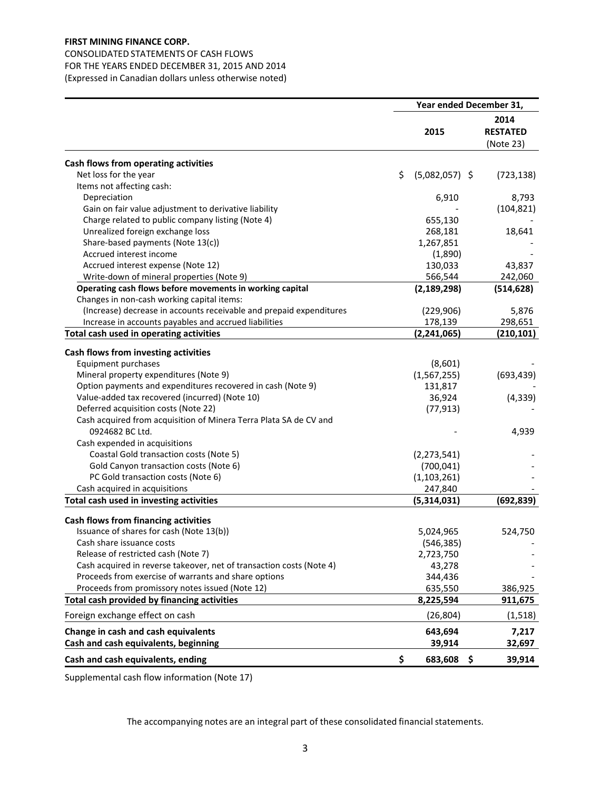# CONSOLIDATED STATEMENTS OF CASH FLOWS FOR THE YEARS ENDED DECEMBER 31, 2015 AND 2014

(Expressed in Canadian dollars unless otherwise noted)

|                                                                      | Year ended December 31, |                  |  |                                      |
|----------------------------------------------------------------------|-------------------------|------------------|--|--------------------------------------|
|                                                                      |                         | 2015             |  | 2014<br><b>RESTATED</b><br>(Note 23) |
| Cash flows from operating activities                                 |                         |                  |  |                                      |
| Net loss for the year                                                | \$                      | $(5,082,057)$ \$ |  | (723, 138)                           |
| Items not affecting cash:                                            |                         |                  |  |                                      |
| Depreciation                                                         |                         | 6,910            |  | 8,793                                |
| Gain on fair value adjustment to derivative liability                |                         |                  |  | (104, 821)                           |
| Charge related to public company listing (Note 4)                    |                         | 655,130          |  |                                      |
| Unrealized foreign exchange loss                                     |                         | 268,181          |  | 18,641                               |
| Share-based payments (Note 13(c))                                    |                         | 1,267,851        |  |                                      |
| Accrued interest income                                              |                         | (1,890)          |  |                                      |
| Accrued interest expense (Note 12)                                   |                         | 130,033          |  | 43,837                               |
| Write-down of mineral properties (Note 9)                            |                         | 566,544          |  | 242,060                              |
| Operating cash flows before movements in working capital             |                         | (2, 189, 298)    |  | (514, 628)                           |
| Changes in non-cash working capital items:                           |                         |                  |  |                                      |
| (Increase) decrease in accounts receivable and prepaid expenditures  |                         | (229, 906)       |  | 5,876                                |
| Increase in accounts payables and accrued liabilities                |                         | 178,139          |  | 298,651                              |
| Total cash used in operating activities                              |                         | (2, 241, 065)    |  | (210, 101)                           |
| Cash flows from investing activities                                 |                         |                  |  |                                      |
| Equipment purchases                                                  |                         | (8,601)          |  |                                      |
| Mineral property expenditures (Note 9)                               |                         | (1, 567, 255)    |  | (693, 439)                           |
| Option payments and expenditures recovered in cash (Note 9)          |                         | 131,817          |  |                                      |
| Value-added tax recovered (incurred) (Note 10)                       |                         | 36,924           |  | (4, 339)                             |
| Deferred acquisition costs (Note 22)                                 |                         | (77, 913)        |  |                                      |
| Cash acquired from acquisition of Minera Terra Plata SA de CV and    |                         |                  |  |                                      |
| 0924682 BC Ltd.                                                      |                         |                  |  | 4,939                                |
| Cash expended in acquisitions                                        |                         |                  |  |                                      |
| Coastal Gold transaction costs (Note 5)                              |                         | (2, 273, 541)    |  |                                      |
| Gold Canyon transaction costs (Note 6)                               |                         | (700, 041)       |  |                                      |
| PC Gold transaction costs (Note 6)                                   |                         | (1, 103, 261)    |  |                                      |
| Cash acquired in acquisitions                                        |                         | 247,840          |  |                                      |
| Total cash used in investing activities                              |                         | (5,314,031)      |  | (692, 839)                           |
| Cash flows from financing activities                                 |                         |                  |  |                                      |
| Issuance of shares for cash (Note 13(b))                             |                         | 5,024,965        |  | 524,750                              |
| Cash share issuance costs                                            |                         | (546, 385)       |  |                                      |
| Release of restricted cash (Note 7)                                  |                         | 2,723,750        |  |                                      |
| Cash acquired in reverse takeover, net of transaction costs (Note 4) |                         | 43,278           |  |                                      |
| Proceeds from exercise of warrants and share options                 |                         | 344,436          |  |                                      |
| Proceeds from promissory notes issued (Note 12)                      |                         | 635,550          |  | 386,925                              |
| Total cash provided by financing activities                          |                         | 8,225,594        |  | <u>911,675</u>                       |
| Foreign exchange effect on cash                                      |                         | (26, 804)        |  | (1, 518)                             |
| Change in cash and cash equivalents                                  |                         | 643,694          |  | 7,217                                |
| Cash and cash equivalents, beginning                                 |                         | 39,914           |  | 32,697                               |
| Cash and cash equivalents, ending                                    | \$                      | 683,608 \$       |  | 39,914                               |

Supplemental cash flow information (Note 17)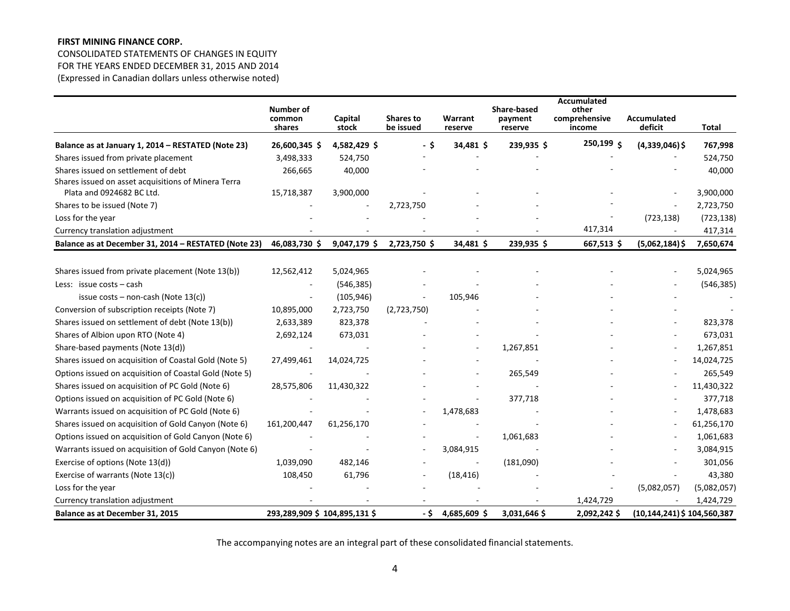CONSOLIDATED STATEMENTS OF CHANGES IN EQUITY FOR THE YEARS ENDED DECEMBER 31, 2015 AND 2014 (Expressed in Canadian dollars unless otherwise noted)

|                                                        | Number of<br>common<br>shares | Capital<br>stock | <b>Shares to</b><br>be issued | Warrant<br>reserve | Share-based<br>payment<br>reserve | Accumulated<br>other<br>comprehensive<br>income | <b>Accumulated</b><br>deficit   | <b>Total</b> |
|--------------------------------------------------------|-------------------------------|------------------|-------------------------------|--------------------|-----------------------------------|-------------------------------------------------|---------------------------------|--------------|
| Balance as at January 1, 2014 - RESTATED (Note 23)     | 26,600,345 \$                 | 4,582,429\$      | - \$                          | 34,481 \$          | 239,935\$                         | 250,199 \$                                      | $(4,339,046)$ \$                | 767,998      |
| Shares issued from private placement                   | 3,498,333                     | 524,750          |                               |                    |                                   |                                                 |                                 | 524,750      |
| Shares issued on settlement of debt                    | 266,665                       | 40,000           |                               |                    |                                   |                                                 |                                 | 40,000       |
| Shares issued on asset acquisitions of Minera Terra    |                               |                  |                               |                    |                                   |                                                 |                                 |              |
| Plata and 0924682 BC Ltd.                              | 15,718,387                    | 3,900,000        |                               |                    |                                   |                                                 |                                 | 3,900,000    |
| Shares to be issued (Note 7)                           |                               |                  | 2,723,750                     |                    |                                   |                                                 |                                 | 2,723,750    |
| Loss for the year                                      |                               |                  |                               |                    |                                   |                                                 | (723, 138)                      | (723, 138)   |
| Currency translation adjustment                        |                               |                  |                               |                    |                                   | 417,314                                         |                                 | 417,314      |
| Balance as at December 31, 2014 - RESTATED (Note 23)   | 46,083,730 \$                 | 9,047,179 \$     | 2,723,750 \$                  | 34,481 \$          | 239,935 \$                        | 667,513\$                                       | $(5,062,184)$ \$                | 7,650,674    |
| Shares issued from private placement (Note 13(b))      | 12,562,412                    | 5,024,965        |                               |                    |                                   |                                                 |                                 | 5,024,965    |
| Less: issue costs $-$ cash                             |                               | (546, 385)       |                               |                    |                                   |                                                 |                                 | (546, 385)   |
| issue costs – non-cash (Note $13(c)$ )                 |                               | (105, 946)       |                               | 105,946            |                                   |                                                 |                                 |              |
| Conversion of subscription receipts (Note 7)           | 10,895,000                    | 2,723,750        | (2,723,750)                   |                    |                                   |                                                 |                                 |              |
| Shares issued on settlement of debt (Note 13(b))       | 2,633,389                     | 823,378          |                               |                    |                                   |                                                 |                                 | 823,378      |
| Shares of Albion upon RTO (Note 4)                     | 2,692,124                     | 673,031          |                               |                    |                                   |                                                 |                                 | 673,031      |
| Share-based payments (Note 13(d))                      |                               |                  |                               |                    | 1,267,851                         |                                                 |                                 | 1,267,851    |
| Shares issued on acquisition of Coastal Gold (Note 5)  | 27,499,461                    | 14,024,725       |                               |                    |                                   |                                                 |                                 | 14,024,725   |
| Options issued on acquisition of Coastal Gold (Note 5) |                               |                  |                               |                    | 265,549                           |                                                 |                                 | 265,549      |
| Shares issued on acquisition of PC Gold (Note 6)       | 28,575,806                    | 11,430,322       |                               |                    |                                   |                                                 |                                 | 11,430,322   |
| Options issued on acquisition of PC Gold (Note 6)      |                               |                  |                               |                    | 377,718                           |                                                 |                                 | 377,718      |
| Warrants issued on acquisition of PC Gold (Note 6)     |                               |                  |                               | 1,478,683          |                                   |                                                 |                                 | 1,478,683    |
| Shares issued on acquisition of Gold Canyon (Note 6)   | 161,200,447                   | 61,256,170       |                               |                    |                                   |                                                 |                                 | 61,256,170   |
| Options issued on acquisition of Gold Canyon (Note 6)  |                               |                  |                               |                    | 1,061,683                         |                                                 |                                 | 1,061,683    |
| Warrants issued on acquisition of Gold Canyon (Note 6) |                               |                  |                               | 3,084,915          |                                   |                                                 |                                 | 3,084,915    |
| Exercise of options (Note 13(d))                       | 1,039,090                     | 482,146          |                               |                    | (181,090)                         |                                                 |                                 | 301,056      |
| Exercise of warrants (Note 13(c))                      | 108,450                       | 61,796           |                               | (18, 416)          |                                   |                                                 |                                 | 43,380       |
| Loss for the year                                      |                               |                  |                               |                    |                                   |                                                 | (5,082,057)                     | (5,082,057)  |
| Currency translation adjustment                        |                               |                  |                               |                    |                                   | 1,424,729                                       |                                 | 1,424,729    |
| Balance as at December 31, 2015                        | 293,289,909 \$104,895,131 \$  |                  | - \$                          | 4,685,609 \$       | 3,031,646 \$                      | 2,092,242\$                                     | $(10, 144, 241)$ \$ 104,560,387 |              |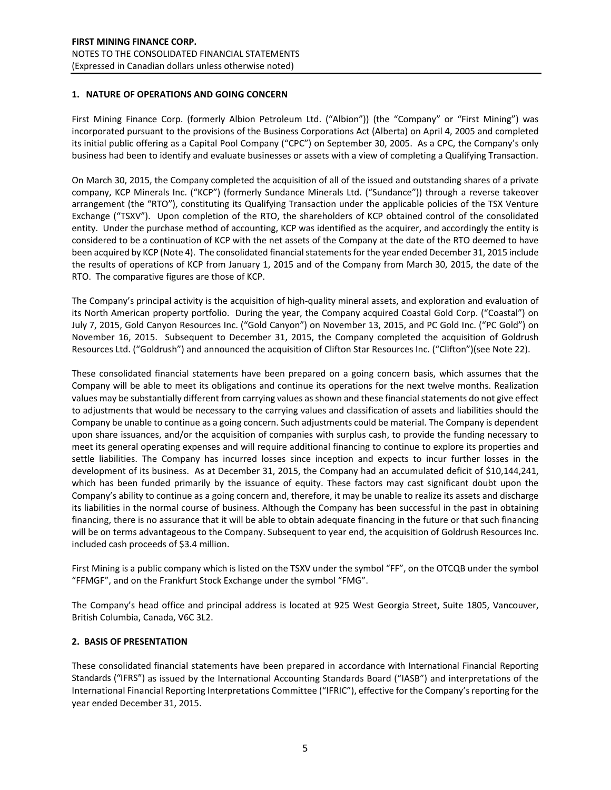### **1. NATURE OF OPERATIONS AND GOING CONCERN**

First Mining Finance Corp. (formerly Albion Petroleum Ltd. ("Albion")) (the "Company" or "First Mining") was incorporated pursuant to the provisions of the Business Corporations Act (Alberta) on April 4, 2005 and completed its initial public offering as a Capital Pool Company ("CPC") on September 30, 2005. As a CPC, the Company's only business had been to identify and evaluate businesses or assets with a view of completing a Qualifying Transaction.

On March 30, 2015, the Company completed the acquisition of all of the issued and outstanding shares of a private company, KCP Minerals Inc. ("KCP") (formerly Sundance Minerals Ltd. ("Sundance")) through a reverse takeover arrangement (the "RTO"), constituting its Qualifying Transaction under the applicable policies of the TSX Venture Exchange ("TSXV"). Upon completion of the RTO, the shareholders of KCP obtained control of the consolidated entity. Under the purchase method of accounting, KCP was identified as the acquirer, and accordingly the entity is considered to be a continuation of KCP with the net assets of the Company at the date of the RTO deemed to have been acquired by KCP (Note 4). The consolidated financial statements for the year ended December 31, 2015 include the results of operations of KCP from January 1, 2015 and of the Company from March 30, 2015, the date of the RTO. The comparative figures are those of KCP.

The Company's principal activity is the acquisition of high-quality mineral assets, and exploration and evaluation of its North American property portfolio. During the year, the Company acquired Coastal Gold Corp. ("Coastal") on July 7, 2015, Gold Canyon Resources Inc. ("Gold Canyon") on November 13, 2015, and PC Gold Inc. ("PC Gold") on November 16, 2015. Subsequent to December 31, 2015, the Company completed the acquisition of Goldrush Resources Ltd. ("Goldrush") and announced the acquisition of Clifton Star Resources Inc. ("Clifton")(see Note 22).

These consolidated financial statements have been prepared on a going concern basis, which assumes that the Company will be able to meet its obligations and continue its operations for the next twelve months. Realization values may be substantially different from carrying values as shown and these financial statements do not give effect to adjustments that would be necessary to the carrying values and classification of assets and liabilities should the Company be unable to continue as a going concern. Such adjustments could be material. The Company is dependent upon share issuances, and/or the acquisition of companies with surplus cash, to provide the funding necessary to meet its general operating expenses and will require additional financing to continue to explore its properties and settle liabilities. The Company has incurred losses since inception and expects to incur further losses in the development of its business. As at December 31, 2015, the Company had an accumulated deficit of \$10,144,241, which has been funded primarily by the issuance of equity. These factors may cast significant doubt upon the Company's ability to continue as a going concern and, therefore, it may be unable to realize its assets and discharge its liabilities in the normal course of business. Although the Company has been successful in the past in obtaining financing, there is no assurance that it will be able to obtain adequate financing in the future or that such financing will be on terms advantageous to the Company. Subsequent to year end, the acquisition of Goldrush Resources Inc. included cash proceeds of \$3.4 million.

First Mining is a public company which is listed on the TSXV under the symbol "FF", on the OTCQB under the symbol "FFMGF", and on the Frankfurt Stock Exchange under the symbol "FMG".

The Company's head office and principal address is located at 925 West Georgia Street, Suite 1805, Vancouver, British Columbia, Canada, V6C 3L2.

### **2. BASIS OF PRESENTATION**

These consolidated financial statements have been prepared in accordance with International Financial Reporting Standards ("IFRS") as issued by the International Accounting Standards Board ("IASB") and interpretations of the International Financial Reporting Interpretations Committee ("IFRIC"), effective for the Company's reporting for the year ended December 31, 2015.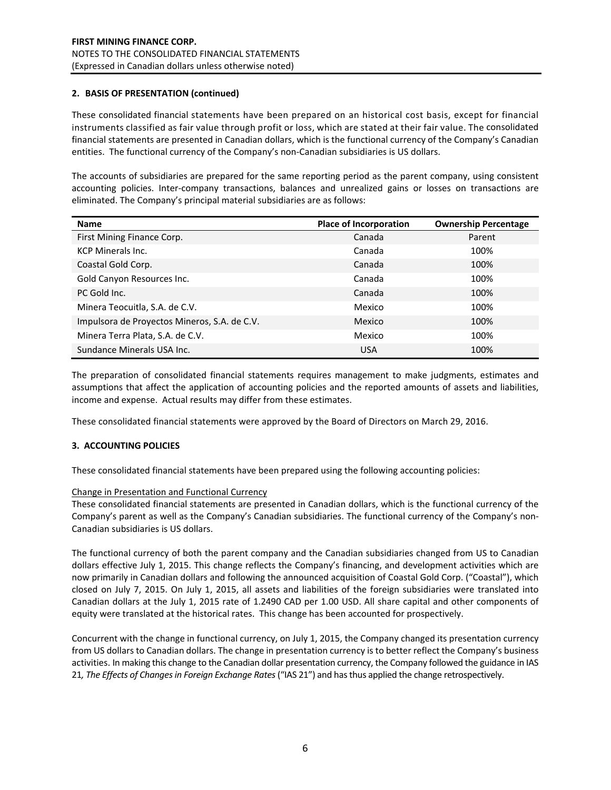### **2. BASIS OF PRESENTATION (continued)**

These consolidated financial statements have been prepared on an historical cost basis, except for financial instruments classified as fair value through profit or loss, which are stated at their fair value. The consolidated financial statements are presented in Canadian dollars, which is the functional currency of the Company's Canadian entities. The functional currency of the Company's non-Canadian subsidiaries is US dollars.

The accounts of subsidiaries are prepared for the same reporting period as the parent company, using consistent accounting policies. Inter-company transactions, balances and unrealized gains or losses on transactions are eliminated. The Company's principal material subsidiaries are as follows:

| <b>Name</b>                                  | <b>Place of Incorporation</b> | <b>Ownership Percentage</b> |
|----------------------------------------------|-------------------------------|-----------------------------|
| First Mining Finance Corp.                   | Canada                        | Parent                      |
| <b>KCP Minerals Inc.</b>                     | Canada                        | 100%                        |
| Coastal Gold Corp.                           | Canada                        | 100%                        |
| Gold Canyon Resources Inc.                   | Canada                        | 100%                        |
| PC Gold Inc.                                 | Canada                        | 100%                        |
| Minera Teocuitla, S.A. de C.V.               | Mexico                        | 100%                        |
| Impulsora de Proyectos Mineros, S.A. de C.V. | Mexico                        | 100%                        |
| Minera Terra Plata, S.A. de C.V.             | Mexico                        | 100%                        |
| Sundance Minerals USA Inc.                   | <b>USA</b>                    | 100%                        |

The preparation of consolidated financial statements requires management to make judgments, estimates and assumptions that affect the application of accounting policies and the reported amounts of assets and liabilities, income and expense. Actual results may differ from these estimates.

These consolidated financial statements were approved by the Board of Directors on March 29, 2016.

### **3. ACCOUNTING POLICIES**

These consolidated financial statements have been prepared using the following accounting policies:

#### Change in Presentation and Functional Currency

These consolidated financial statements are presented in Canadian dollars, which is the functional currency of the Company's parent as well as the Company's Canadian subsidiaries. The functional currency of the Company's non-Canadian subsidiaries is US dollars.

The functional currency of both the parent company and the Canadian subsidiaries changed from US to Canadian dollars effective July 1, 2015. This change reflects the Company's financing, and development activities which are now primarily in Canadian dollars and following the announced acquisition of Coastal Gold Corp. ("Coastal"), which closed on July 7, 2015. On July 1, 2015, all assets and liabilities of the foreign subsidiaries were translated into Canadian dollars at the July 1, 2015 rate of 1.2490 CAD per 1.00 USD. All share capital and other components of equity were translated at the historical rates. This change has been accounted for prospectively.

Concurrent with the change in functional currency, on July 1, 2015, the Company changed its presentation currency from US dollars to Canadian dollars. The change in presentation currency is to better reflect the Company's business activities. In making this change to the Canadian dollar presentation currency, the Company followed the guidance in IAS 21*, The Effects of Changes in Foreign Exchange Rates* ("IAS 21") and has thus applied the change retrospectively.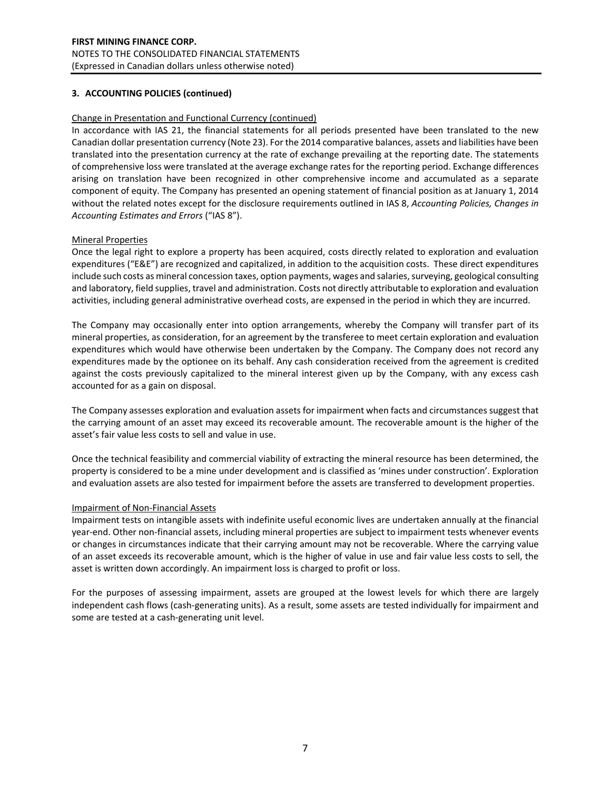### Change in Presentation and Functional Currency (continued)

In accordance with IAS 21, the financial statements for all periods presented have been translated to the new Canadian dollar presentation currency (Note 23). For the 2014 comparative balances, assets and liabilities have been translated into the presentation currency at the rate of exchange prevailing at the reporting date. The statements of comprehensive loss were translated at the average exchange rates for the reporting period. Exchange differences arising on translation have been recognized in other comprehensive income and accumulated as a separate component of equity. The Company has presented an opening statement of financial position as at January 1, 2014 without the related notes except for the disclosure requirements outlined in IAS 8, *Accounting Policies, Changes in Accounting Estimates and Errors* ("IAS 8").

### Mineral Properties

Once the legal right to explore a property has been acquired, costs directly related to exploration and evaluation expenditures ("E&E") are recognized and capitalized, in addition to the acquisition costs. These direct expenditures include such costs as mineral concession taxes, option payments, wages and salaries, surveying, geological consulting and laboratory, field supplies, travel and administration. Costs not directly attributable to exploration and evaluation activities, including general administrative overhead costs, are expensed in the period in which they are incurred.

The Company may occasionally enter into option arrangements, whereby the Company will transfer part of its mineral properties, as consideration, for an agreement by the transferee to meet certain exploration and evaluation expenditures which would have otherwise been undertaken by the Company. The Company does not record any expenditures made by the optionee on its behalf. Any cash consideration received from the agreement is credited against the costs previously capitalized to the mineral interest given up by the Company, with any excess cash accounted for as a gain on disposal.

The Company assesses exploration and evaluation assets for impairment when facts and circumstances suggest that the carrying amount of an asset may exceed its recoverable amount. The recoverable amount is the higher of the asset's fair value less costs to sell and value in use.

Once the technical feasibility and commercial viability of extracting the mineral resource has been determined, the property is considered to be a mine under development and is classified as 'mines under construction'. Exploration and evaluation assets are also tested for impairment before the assets are transferred to development properties.

### Impairment of Non-Financial Assets

Impairment tests on intangible assets with indefinite useful economic lives are undertaken annually at the financial year-end. Other non-financial assets, including mineral properties are subject to impairment tests whenever events or changes in circumstances indicate that their carrying amount may not be recoverable. Where the carrying value of an asset exceeds its recoverable amount, which is the higher of value in use and fair value less costs to sell, the asset is written down accordingly. An impairment loss is charged to profit or loss.

For the purposes of assessing impairment, assets are grouped at the lowest levels for which there are largely independent cash flows (cash-generating units). As a result, some assets are tested individually for impairment and some are tested at a cash-generating unit level.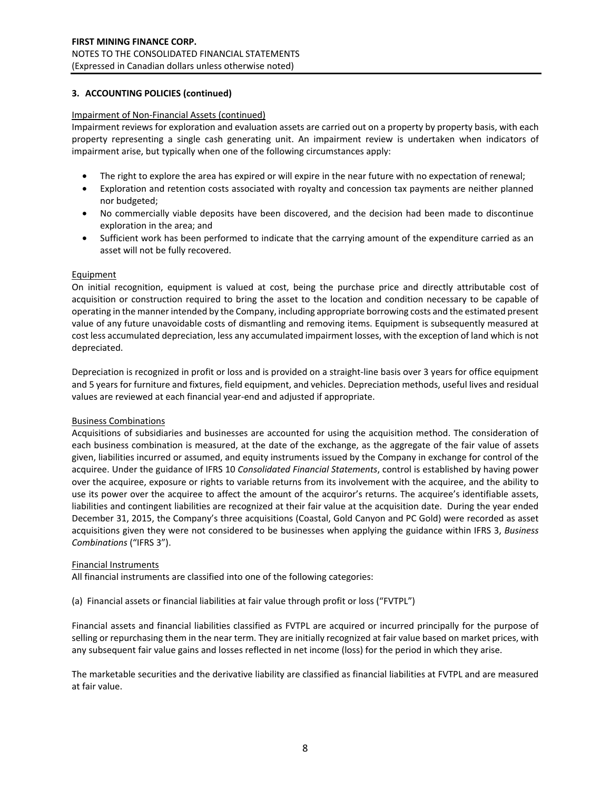### Impairment of Non-Financial Assets (continued)

Impairment reviews for exploration and evaluation assets are carried out on a property by property basis, with each property representing a single cash generating unit. An impairment review is undertaken when indicators of impairment arise, but typically when one of the following circumstances apply:

- The right to explore the area has expired or will expire in the near future with no expectation of renewal;
- Exploration and retention costs associated with royalty and concession tax payments are neither planned nor budgeted;
- No commercially viable deposits have been discovered, and the decision had been made to discontinue exploration in the area; and
- Sufficient work has been performed to indicate that the carrying amount of the expenditure carried as an asset will not be fully recovered.

### **Equipment**

On initial recognition, equipment is valued at cost, being the purchase price and directly attributable cost of acquisition or construction required to bring the asset to the location and condition necessary to be capable of operating in the manner intended by the Company, including appropriate borrowing costs and the estimated present value of any future unavoidable costs of dismantling and removing items. Equipment is subsequently measured at cost less accumulated depreciation, less any accumulated impairment losses, with the exception of land which is not depreciated.

Depreciation is recognized in profit or loss and is provided on a straight-line basis over 3 years for office equipment and 5 years for furniture and fixtures, field equipment, and vehicles. Depreciation methods, useful lives and residual values are reviewed at each financial year-end and adjusted if appropriate.

### Business Combinations

Acquisitions of subsidiaries and businesses are accounted for using the acquisition method. The consideration of each business combination is measured, at the date of the exchange, as the aggregate of the fair value of assets given, liabilities incurred or assumed, and equity instruments issued by the Company in exchange for control of the acquiree. Under the guidance of IFRS 10 *Consolidated Financial Statements*, control is established by having power over the acquiree, exposure or rights to variable returns from its involvement with the acquiree, and the ability to use its power over the acquiree to affect the amount of the acquiror's returns. The acquiree's identifiable assets, liabilities and contingent liabilities are recognized at their fair value at the acquisition date. During the year ended December 31, 2015, the Company's three acquisitions (Coastal, Gold Canyon and PC Gold) were recorded as asset acquisitions given they were not considered to be businesses when applying the guidance within IFRS 3, *Business Combinations* ("IFRS 3").

### Financial Instruments

All financial instruments are classified into one of the following categories:

(a) Financial assets or financial liabilities at fair value through profit or loss ("FVTPL")

Financial assets and financial liabilities classified as FVTPL are acquired or incurred principally for the purpose of selling or repurchasing them in the near term. They are initially recognized at fair value based on market prices, with any subsequent fair value gains and losses reflected in net income (loss) for the period in which they arise.

The marketable securities and the derivative liability are classified as financial liabilities at FVTPL and are measured at fair value.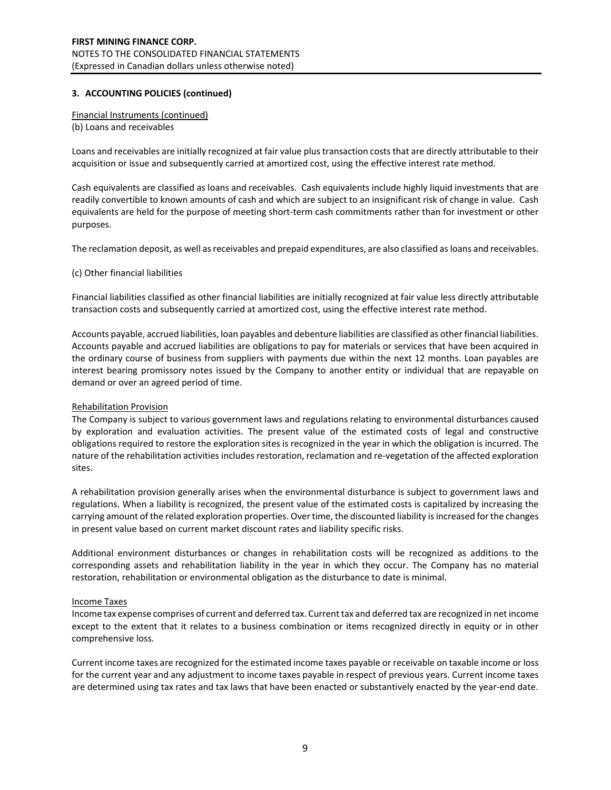Financial Instruments (continued) (b) Loans and receivables

Loans and receivables are initially recognized at fair value plus transaction costs that are directly attributable to their acquisition or issue and subsequently carried at amortized cost, using the effective interest rate method.

Cash equivalents are classified as loans and receivables. Cash equivalents include highly liquid investments that are readily convertible to known amounts of cash and which are subject to an insignificant risk of change in value. Cash equivalents are held for the purpose of meeting short-term cash commitments rather than for investment or other purposes.

The reclamation deposit, as well as receivables and prepaid expenditures, are also classified as loans and receivables.

#### (c) Other financial liabilities

Financial liabilities classified as other financial liabilities are initially recognized at fair value less directly attributable transaction costs and subsequently carried at amortized cost, using the effective interest rate method.

Accounts payable, accrued liabilities, loan payables and debenture liabilities are classified as other financial liabilities. Accounts payable and accrued liabilities are obligations to pay for materials or services that have been acquired in the ordinary course of business from suppliers with payments due within the next 12 months. Loan payables are interest bearing promissory notes issued by the Company to another entity or individual that are repayable on demand or over an agreed period of time.

### Rehabilitation Provision

The Company is subject to various government laws and regulations relating to environmental disturbances caused by exploration and evaluation activities. The present value of the estimated costs of legal and constructive obligations required to restore the exploration sites is recognized in the year in which the obligation is incurred. The nature of the rehabilitation activities includes restoration, reclamation and re-vegetation of the affected exploration sites.

A rehabilitation provision generally arises when the environmental disturbance is subject to government laws and regulations. When a liability is recognized, the present value of the estimated costs is capitalized by increasing the carrying amount of the related exploration properties. Over time, the discounted liability is increased for the changes in present value based on current market discount rates and liability specific risks.

Additional environment disturbances or changes in rehabilitation costs will be recognized as additions to the corresponding assets and rehabilitation liability in the year in which they occur. The Company has no material restoration, rehabilitation or environmental obligation as the disturbance to date is minimal.

### Income Taxes

Income tax expense comprises of current and deferred tax. Current tax and deferred tax are recognized in net income except to the extent that it relates to a business combination or items recognized directly in equity or in other comprehensive loss.

Current income taxes are recognized for the estimated income taxes payable or receivable on taxable income or loss for the current year and any adjustment to income taxes payable in respect of previous years. Current income taxes are determined using tax rates and tax laws that have been enacted or substantively enacted by the year-end date.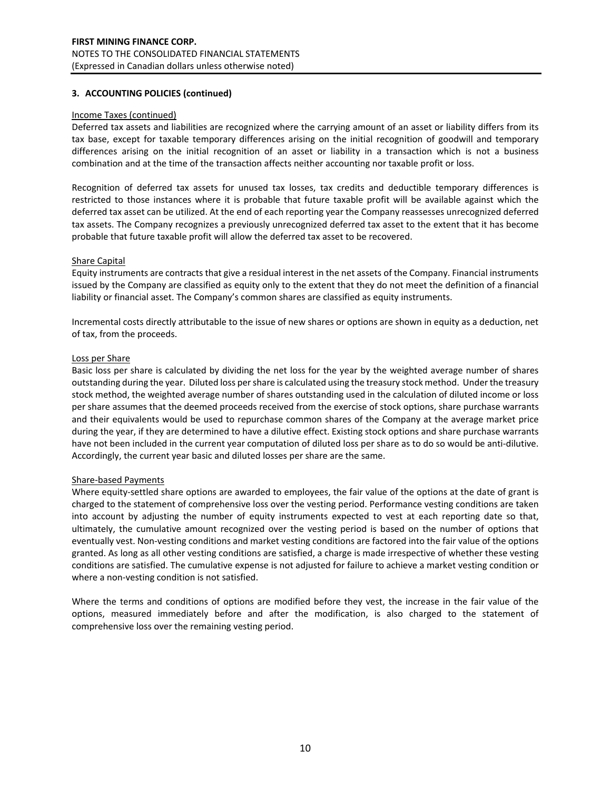#### Income Taxes (continued)

Deferred tax assets and liabilities are recognized where the carrying amount of an asset or liability differs from its tax base, except for taxable temporary differences arising on the initial recognition of goodwill and temporary differences arising on the initial recognition of an asset or liability in a transaction which is not a business combination and at the time of the transaction affects neither accounting nor taxable profit or loss.

Recognition of deferred tax assets for unused tax losses, tax credits and deductible temporary differences is restricted to those instances where it is probable that future taxable profit will be available against which the deferred tax asset can be utilized. At the end of each reporting year the Company reassesses unrecognized deferred tax assets. The Company recognizes a previously unrecognized deferred tax asset to the extent that it has become probable that future taxable profit will allow the deferred tax asset to be recovered.

#### Share Capital

Equity instruments are contracts that give a residual interest in the net assets of the Company. Financial instruments issued by the Company are classified as equity only to the extent that they do not meet the definition of a financial liability or financial asset. The Company's common shares are classified as equity instruments.

Incremental costs directly attributable to the issue of new shares or options are shown in equity as a deduction, net of tax, from the proceeds.

#### Loss per Share

Basic loss per share is calculated by dividing the net loss for the year by the weighted average number of shares outstanding during the year. Diluted loss per share is calculated using the treasury stock method. Under the treasury stock method, the weighted average number of shares outstanding used in the calculation of diluted income or loss per share assumes that the deemed proceeds received from the exercise of stock options, share purchase warrants and their equivalents would be used to repurchase common shares of the Company at the average market price during the year, if they are determined to have a dilutive effect. Existing stock options and share purchase warrants have not been included in the current year computation of diluted loss per share as to do so would be anti-dilutive. Accordingly, the current year basic and diluted losses per share are the same.

### Share-based Payments

Where equity-settled share options are awarded to employees, the fair value of the options at the date of grant is charged to the statement of comprehensive loss over the vesting period. Performance vesting conditions are taken into account by adjusting the number of equity instruments expected to vest at each reporting date so that, ultimately, the cumulative amount recognized over the vesting period is based on the number of options that eventually vest. Non-vesting conditions and market vesting conditions are factored into the fair value of the options granted. As long as all other vesting conditions are satisfied, a charge is made irrespective of whether these vesting conditions are satisfied. The cumulative expense is not adjusted for failure to achieve a market vesting condition or where a non-vesting condition is not satisfied.

Where the terms and conditions of options are modified before they vest, the increase in the fair value of the options, measured immediately before and after the modification, is also charged to the statement of comprehensive loss over the remaining vesting period.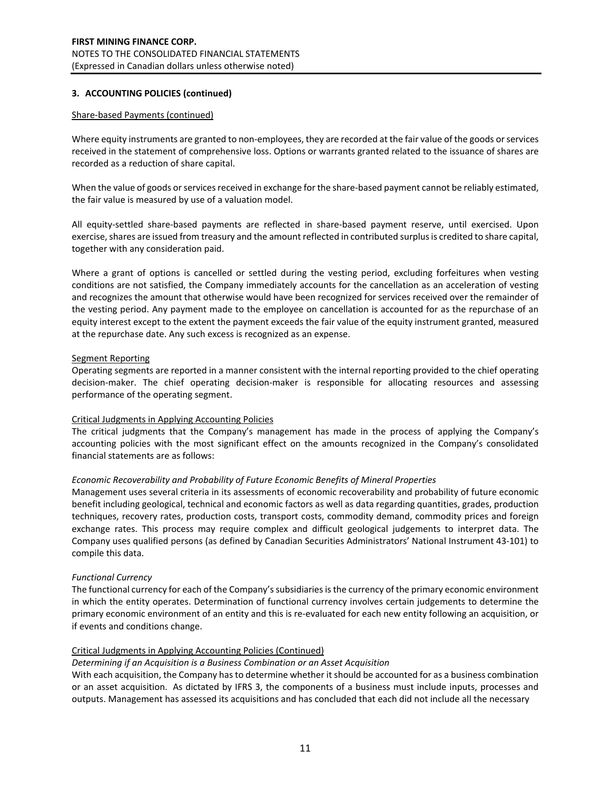#### Share-based Payments (continued)

Where equity instruments are granted to non-employees, they are recorded at the fair value of the goods or services received in the statement of comprehensive loss. Options or warrants granted related to the issuance of shares are recorded as a reduction of share capital.

When the value of goods or services received in exchange for the share-based payment cannot be reliably estimated, the fair value is measured by use of a valuation model.

All equity-settled share-based payments are reflected in share-based payment reserve, until exercised. Upon exercise, shares are issued from treasury and the amount reflected in contributed surplus is credited to share capital, together with any consideration paid.

Where a grant of options is cancelled or settled during the vesting period, excluding forfeitures when vesting conditions are not satisfied, the Company immediately accounts for the cancellation as an acceleration of vesting and recognizes the amount that otherwise would have been recognized for services received over the remainder of the vesting period. Any payment made to the employee on cancellation is accounted for as the repurchase of an equity interest except to the extent the payment exceeds the fair value of the equity instrument granted, measured at the repurchase date. Any such excess is recognized as an expense.

#### Segment Reporting

Operating segments are reported in a manner consistent with the internal reporting provided to the chief operating decision-maker. The chief operating decision-maker is responsible for allocating resources and assessing performance of the operating segment.

### Critical Judgments in Applying Accounting Policies

The critical judgments that the Company's management has made in the process of applying the Company's accounting policies with the most significant effect on the amounts recognized in the Company's consolidated financial statements are as follows:

### *Economic Recoverability and Probability of Future Economic Benefits of Mineral Properties*

Management uses several criteria in its assessments of economic recoverability and probability of future economic benefit including geological, technical and economic factors as well as data regarding quantities, grades, production techniques, recovery rates, production costs, transport costs, commodity demand, commodity prices and foreign exchange rates. This process may require complex and difficult geological judgements to interpret data. The Company uses qualified persons (as defined by Canadian Securities Administrators' National Instrument 43-101) to compile this data.

### *Functional Currency*

The functional currency for each of the Company's subsidiaries is the currency of the primary economic environment in which the entity operates. Determination of functional currency involves certain judgements to determine the primary economic environment of an entity and this is re-evaluated for each new entity following an acquisition, or if events and conditions change.

### Critical Judgments in Applying Accounting Policies (Continued)

### *Determining if an Acquisition is a Business Combination or an Asset Acquisition*

With each acquisition, the Company has to determine whether it should be accounted for as a business combination or an asset acquisition. As dictated by IFRS 3, the components of a business must include inputs, processes and outputs. Management has assessed its acquisitions and has concluded that each did not include all the necessary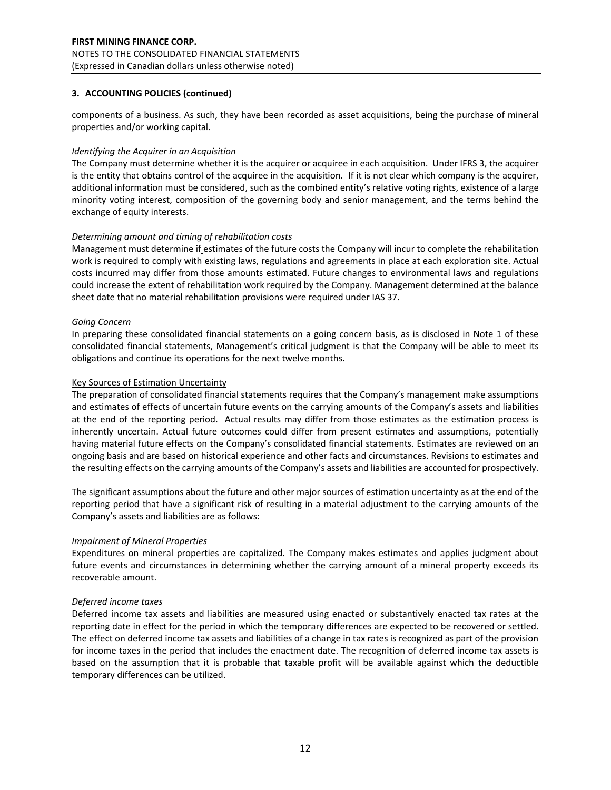components of a business. As such, they have been recorded as asset acquisitions, being the purchase of mineral properties and/or working capital.

#### *Identifying the Acquirer in an Acquisition*

The Company must determine whether it is the acquirer or acquiree in each acquisition. Under IFRS 3, the acquirer is the entity that obtains control of the acquiree in the acquisition. If it is not clear which company is the acquirer, additional information must be considered, such as the combined entity's relative voting rights, existence of a large minority voting interest, composition of the governing body and senior management, and the terms behind the exchange of equity interests.

#### *Determining amount and timing of rehabilitation costs*

Management must determine if estimates of the future costs the Company will incur to complete the rehabilitation work is required to comply with existing laws, regulations and agreements in place at each exploration site. Actual costs incurred may differ from those amounts estimated. Future changes to environmental laws and regulations could increase the extent of rehabilitation work required by the Company. Management determined at the balance sheet date that no material rehabilitation provisions were required under IAS 37.

#### *Going Concern*

In preparing these consolidated financial statements on a going concern basis, as is disclosed in Note 1 of these consolidated financial statements, Management's critical judgment is that the Company will be able to meet its obligations and continue its operations for the next twelve months.

#### Key Sources of Estimation Uncertainty

The preparation of consolidated financial statements requires that the Company's management make assumptions and estimates of effects of uncertain future events on the carrying amounts of the Company's assets and liabilities at the end of the reporting period. Actual results may differ from those estimates as the estimation process is inherently uncertain. Actual future outcomes could differ from present estimates and assumptions, potentially having material future effects on the Company's consolidated financial statements. Estimates are reviewed on an ongoing basis and are based on historical experience and other facts and circumstances. Revisions to estimates and the resulting effects on the carrying amounts of the Company's assets and liabilities are accounted for prospectively.

The significant assumptions about the future and other major sources of estimation uncertainty as at the end of the reporting period that have a significant risk of resulting in a material adjustment to the carrying amounts of the Company's assets and liabilities are as follows:

### *Impairment of Mineral Properties*

Expenditures on mineral properties are capitalized. The Company makes estimates and applies judgment about future events and circumstances in determining whether the carrying amount of a mineral property exceeds its recoverable amount.

### *Deferred income taxes*

Deferred income tax assets and liabilities are measured using enacted or substantively enacted tax rates at the reporting date in effect for the period in which the temporary differences are expected to be recovered or settled. The effect on deferred income tax assets and liabilities of a change in tax rates is recognized as part of the provision for income taxes in the period that includes the enactment date. The recognition of deferred income tax assets is based on the assumption that it is probable that taxable profit will be available against which the deductible temporary differences can be utilized.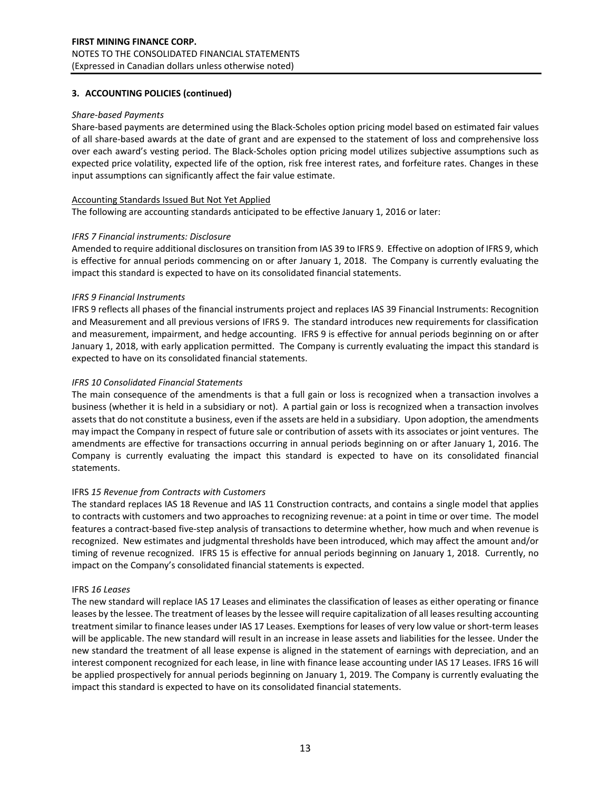#### *Share-based Payments*

Share-based payments are determined using the Black-Scholes option pricing model based on estimated fair values of all share-based awards at the date of grant and are expensed to the statement of loss and comprehensive loss over each award's vesting period. The Black-Scholes option pricing model utilizes subjective assumptions such as expected price volatility, expected life of the option, risk free interest rates, and forfeiture rates. Changes in these input assumptions can significantly affect the fair value estimate.

### Accounting Standards Issued But Not Yet Applied

The following are accounting standards anticipated to be effective January 1, 2016 or later:

#### *IFRS 7 Financial instruments: Disclosure*

Amended to require additional disclosures on transition from IAS 39 to IFRS 9. Effective on adoption of IFRS 9, which is effective for annual periods commencing on or after January 1, 2018. The Company is currently evaluating the impact this standard is expected to have on its consolidated financial statements.

#### *IFRS 9 Financial Instruments*

IFRS 9 reflects all phases of the financial instruments project and replaces IAS 39 Financial Instruments: Recognition and Measurement and all previous versions of IFRS 9. The standard introduces new requirements for classification and measurement, impairment, and hedge accounting. IFRS 9 is effective for annual periods beginning on or after January 1, 2018, with early application permitted. The Company is currently evaluating the impact this standard is expected to have on its consolidated financial statements.

#### *IFRS 10 Consolidated Financial Statements*

The main consequence of the amendments is that a full gain or loss is recognized when a transaction involves a business (whether it is held in a subsidiary or not). A partial gain or loss is recognized when a transaction involves assets that do not constitute a business, even if the assets are held in a subsidiary. Upon adoption, the amendments may impact the Company in respect of future sale or contribution of assets with its associates or joint ventures. The amendments are effective for transactions occurring in annual periods beginning on or after January 1, 2016. The Company is currently evaluating the impact this standard is expected to have on its consolidated financial statements.

### IFRS *15 Revenue from Contracts with Customers*

The standard replaces IAS 18 Revenue and IAS 11 Construction contracts, and contains a single model that applies to contracts with customers and two approaches to recognizing revenue: at a point in time or over time. The model features a contract-based five-step analysis of transactions to determine whether, how much and when revenue is recognized. New estimates and judgmental thresholds have been introduced, which may affect the amount and/or timing of revenue recognized. IFRS 15 is effective for annual periods beginning on January 1, 2018. Currently, no impact on the Company's consolidated financial statements is expected.

#### IFRS *16 Leases*

The new standard will replace IAS 17 Leases and eliminates the classification of leases as either operating or finance leases by the lessee. The treatment of leases by the lessee will require capitalization of all leases resulting accounting treatment similar to finance leases under IAS 17 Leases. Exemptions for leases of very low value or short-term leases will be applicable. The new standard will result in an increase in lease assets and liabilities for the lessee. Under the new standard the treatment of all lease expense is aligned in the statement of earnings with depreciation, and an interest component recognized for each lease, in line with finance lease accounting under IAS 17 Leases. IFRS 16 will be applied prospectively for annual periods beginning on January 1, 2019. The Company is currently evaluating the impact this standard is expected to have on its consolidated financial statements.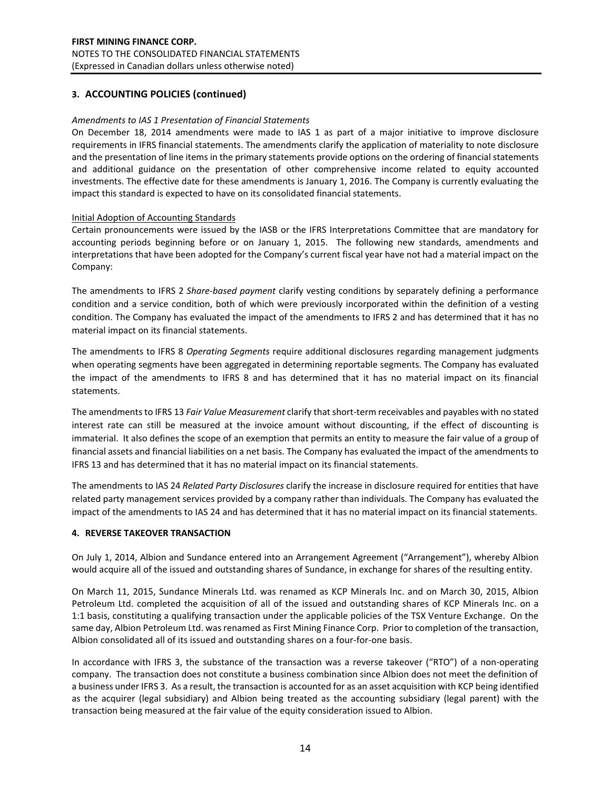#### *Amendments to IAS 1 Presentation of Financial Statements*

On December 18, 2014 amendments were made to IAS 1 as part of a major initiative to improve disclosure requirements in IFRS financial statements. The amendments clarify the application of materiality to note disclosure and the presentation of line items in the primary statements provide options on the ordering of financial statements and additional guidance on the presentation of other comprehensive income related to equity accounted investments. The effective date for these amendments is January 1, 2016. The Company is currently evaluating the impact this standard is expected to have on its consolidated financial statements.

#### Initial Adoption of Accounting Standards

Certain pronouncements were issued by the IASB or the IFRS Interpretations Committee that are mandatory for accounting periods beginning before or on January 1, 2015. The following new standards, amendments and interpretations that have been adopted for the Company's current fiscal year have not had a material impact on the Company:

The amendments to IFRS 2 *Share-based payment* clarify vesting conditions by separately defining a performance condition and a service condition, both of which were previously incorporated within the definition of a vesting condition. The Company has evaluated the impact of the amendments to IFRS 2 and has determined that it has no material impact on its financial statements.

The amendments to IFRS 8 *Operating Segments* require additional disclosures regarding management judgments when operating segments have been aggregated in determining reportable segments. The Company has evaluated the impact of the amendments to IFRS 8 and has determined that it has no material impact on its financial statements.

The amendments to IFRS 13 *Fair Value Measurement* clarify that short-term receivables and payables with no stated interest rate can still be measured at the invoice amount without discounting, if the effect of discounting is immaterial. It also defines the scope of an exemption that permits an entity to measure the fair value of a group of financial assets and financial liabilities on a net basis. The Company has evaluated the impact of the amendments to IFRS 13 and has determined that it has no material impact on its financial statements.

The amendments to IAS 24 *Related Party Disclosures* clarify the increase in disclosure required for entities that have related party management services provided by a company rather than individuals. The Company has evaluated the impact of the amendments to IAS 24 and has determined that it has no material impact on its financial statements.

#### **4. REVERSE TAKEOVER TRANSACTION**

On July 1, 2014, Albion and Sundance entered into an Arrangement Agreement ("Arrangement"), whereby Albion would acquire all of the issued and outstanding shares of Sundance, in exchange for shares of the resulting entity.

On March 11, 2015, Sundance Minerals Ltd. was renamed as KCP Minerals Inc. and on March 30, 2015, Albion Petroleum Ltd. completed the acquisition of all of the issued and outstanding shares of KCP Minerals Inc. on a 1:1 basis, constituting a qualifying transaction under the applicable policies of the TSX Venture Exchange. On the same day, Albion Petroleum Ltd. was renamed as First Mining Finance Corp. Prior to completion of the transaction, Albion consolidated all of its issued and outstanding shares on a four-for-one basis.

In accordance with IFRS 3, the substance of the transaction was a reverse takeover ("RTO") of a non-operating company. The transaction does not constitute a business combination since Albion does not meet the definition of a business under IFRS 3. As a result, the transaction is accounted for as an asset acquisition with KCP being identified as the acquirer (legal subsidiary) and Albion being treated as the accounting subsidiary (legal parent) with the transaction being measured at the fair value of the equity consideration issued to Albion.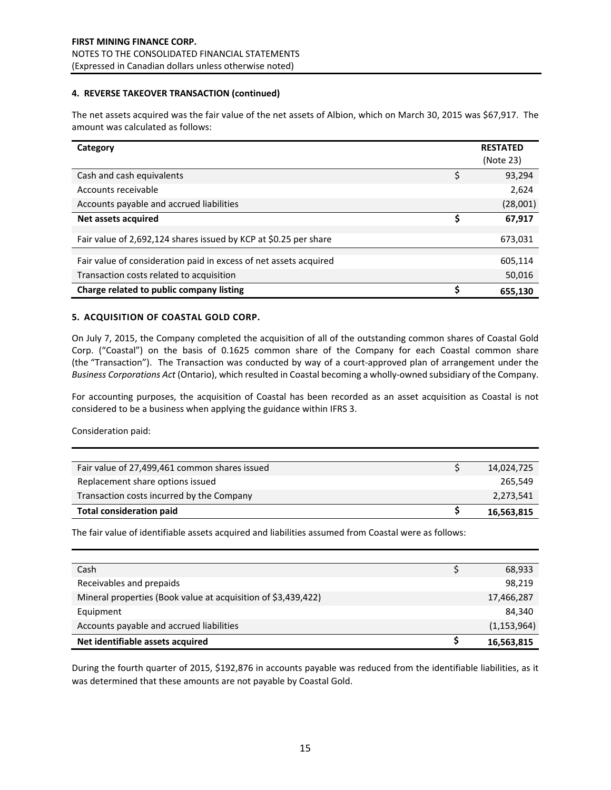#### **4. REVERSE TAKEOVER TRANSACTION (continued)**

The net assets acquired was the fair value of the net assets of Albion, which on March 30, 2015 was \$67,917. The amount was calculated as follows:

| Category                                                          |    | <b>RESTATED</b><br>(Note 23) |
|-------------------------------------------------------------------|----|------------------------------|
| Cash and cash equivalents                                         | \$ | 93,294                       |
| Accounts receivable                                               |    | 2,624                        |
| Accounts payable and accrued liabilities                          |    | (28,001)                     |
| Net assets acquired                                               | S  | 67,917                       |
| Fair value of 2,692,124 shares issued by KCP at \$0.25 per share  |    | 673,031                      |
| Fair value of consideration paid in excess of net assets acquired |    | 605,114                      |
| Transaction costs related to acquisition                          |    | 50,016                       |
| Charge related to public company listing                          | Ś  |                              |
|                                                                   |    | 655,130                      |

### **5. ACQUISITION OF COASTAL GOLD CORP.**

On July 7, 2015, the Company completed the acquisition of all of the outstanding common shares of Coastal Gold Corp. ("Coastal") on the basis of 0.1625 common share of the Company for each Coastal common share (the "Transaction"). The Transaction was conducted by way of a court-approved plan of arrangement under the *Business Corporations Act* (Ontario), which resulted in Coastal becoming a wholly-owned subsidiary of the Company.

For accounting purposes, the acquisition of Coastal has been recorded as an asset acquisition as Coastal is not considered to be a business when applying the guidance within IFRS 3.

Consideration paid:

| Fair value of 27,499,461 common shares issued | 14,024,725 |
|-----------------------------------------------|------------|
| Replacement share options issued              | 265.549    |
| Transaction costs incurred by the Company     | 2,273,541  |
| <b>Total consideration paid</b>               | 16,563,815 |

The fair value of identifiable assets acquired and liabilities assumed from Coastal were as follows:

| Cash                                                          | 68,933        |
|---------------------------------------------------------------|---------------|
| Receivables and prepaids                                      | 98,219        |
| Mineral properties (Book value at acquisition of \$3,439,422) | 17,466,287    |
| Equipment                                                     | 84.340        |
| Accounts payable and accrued liabilities                      | (1, 153, 964) |
| Net identifiable assets acquired                              | 16,563,815    |

During the fourth quarter of 2015, \$192,876 in accounts payable was reduced from the identifiable liabilities, as it was determined that these amounts are not payable by Coastal Gold.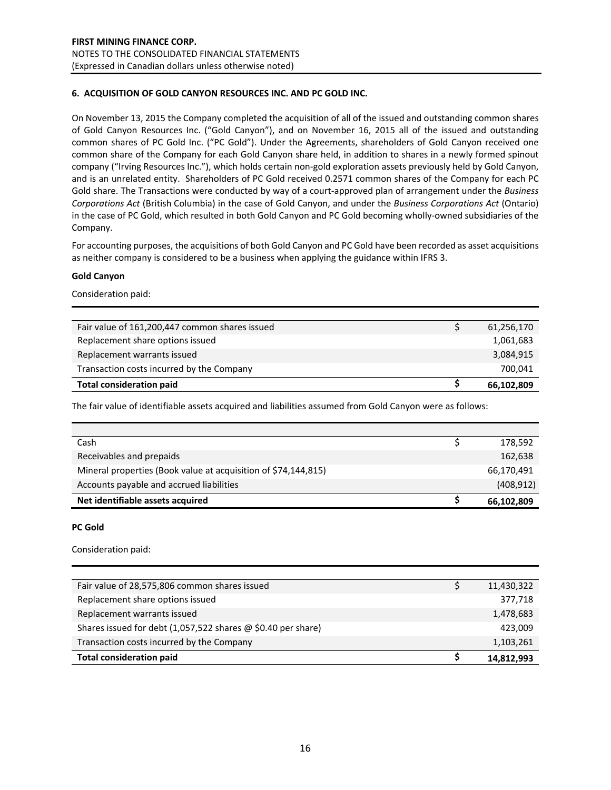### **6. ACQUISITION OF GOLD CANYON RESOURCES INC. AND PC GOLD INC.**

On November 13, 2015 the Company completed the acquisition of all of the issued and outstanding common shares of Gold Canyon Resources Inc. ("Gold Canyon"), and on November 16, 2015 all of the issued and outstanding common shares of PC Gold Inc. ("PC Gold"). Under the Agreements, shareholders of Gold Canyon received one common share of the Company for each Gold Canyon share held, in addition to shares in a newly formed spinout company ("Irving Resources Inc."), which holds certain non-gold exploration assets previously held by Gold Canyon, and is an unrelated entity. Shareholders of PC Gold received 0.2571 common shares of the Company for each PC Gold share. The Transactions were conducted by way of a court-approved plan of arrangement under the *Business Corporations Act* (British Columbia) in the case of Gold Canyon, and under the *Business Corporations Act* (Ontario) in the case of PC Gold, which resulted in both Gold Canyon and PC Gold becoming wholly-owned subsidiaries of the Company.

For accounting purposes, the acquisitions of both Gold Canyon and PC Gold have been recorded as asset acquisitions as neither company is considered to be a business when applying the guidance within IFRS 3.

#### **Gold Canyon**

Consideration paid:

| Fair value of 161,200,447 common shares issued | 61,256,170 |
|------------------------------------------------|------------|
| Replacement share options issued               | 1,061,683  |
| Replacement warrants issued                    | 3,084,915  |
| Transaction costs incurred by the Company      | 700.041    |
| <b>Total consideration paid</b>                | 66,102,809 |

The fair value of identifiable assets acquired and liabilities assumed from Gold Canyon were as follows:

| Cash                                                           | 178,592    |
|----------------------------------------------------------------|------------|
| Receivables and prepaids                                       | 162,638    |
| Mineral properties (Book value at acquisition of \$74,144,815) | 66,170,491 |
| Accounts payable and accrued liabilities                       | (408, 912) |
| Net identifiable assets acquired                               | 66,102,809 |

### **PC Gold**

Consideration paid:

| Fair value of 28,575,806 common shares issued                       | 11,430,322 |
|---------------------------------------------------------------------|------------|
| Replacement share options issued                                    | 377,718    |
| Replacement warrants issued                                         | 1,478,683  |
| Shares issued for debt (1,057,522 shares $\omega$ \$0.40 per share) | 423,009    |
| Transaction costs incurred by the Company                           | 1,103,261  |
| <b>Total consideration paid</b>                                     | 14,812,993 |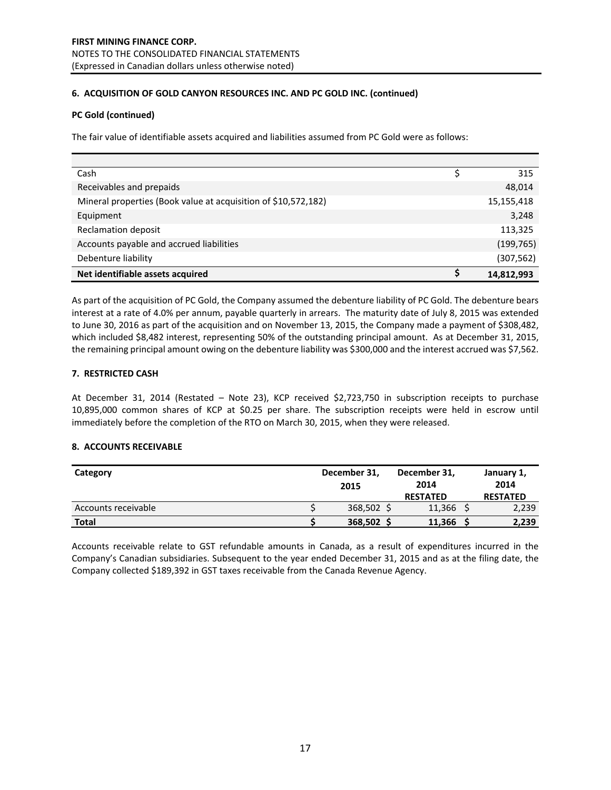### **6. ACQUISITION OF GOLD CANYON RESOURCES INC. AND PC GOLD INC. (continued)**

### **PC Gold (continued)**

The fair value of identifiable assets acquired and liabilities assumed from PC Gold were as follows:

| Cash                                                           | 315        |
|----------------------------------------------------------------|------------|
| Receivables and prepaids                                       | 48,014     |
| Mineral properties (Book value at acquisition of \$10,572,182) | 15,155,418 |
| Equipment                                                      | 3,248      |
| <b>Reclamation deposit</b>                                     | 113,325    |
| Accounts payable and accrued liabilities                       | (199, 765) |
| Debenture liability                                            | (307, 562) |
| Net identifiable assets acquired                               | 14,812,993 |

As part of the acquisition of PC Gold, the Company assumed the debenture liability of PC Gold. The debenture bears interest at a rate of 4.0% per annum, payable quarterly in arrears. The maturity date of July 8, 2015 was extended to June 30, 2016 as part of the acquisition and on November 13, 2015, the Company made a payment of \$308,482, which included \$8,482 interest, representing 50% of the outstanding principal amount. As at December 31, 2015, the remaining principal amount owing on the debenture liability was \$300,000 and the interest accrued was \$7,562.

### **7. RESTRICTED CASH**

At December 31, 2014 (Restated – Note 23), KCP received \$2,723,750 in subscription receipts to purchase 10,895,000 common shares of KCP at \$0.25 per share. The subscription receipts were held in escrow until immediately before the completion of the RTO on March 30, 2015, when they were released.

### **8. ACCOUNTS RECEIVABLE**

| Category            | December 31,<br>2015 | December 31,<br>2014      | January 1,<br>2014       |
|---------------------|----------------------|---------------------------|--------------------------|
| Accounts receivable | 368,502 \$           | <b>RESTATED</b><br>11,366 | <b>RESTATED</b><br>2,239 |
| <b>Total</b>        | 368,502 S            | 11,366                    | 2,239                    |

Accounts receivable relate to GST refundable amounts in Canada, as a result of expenditures incurred in the Company's Canadian subsidiaries. Subsequent to the year ended December 31, 2015 and as at the filing date, the Company collected \$189,392 in GST taxes receivable from the Canada Revenue Agency.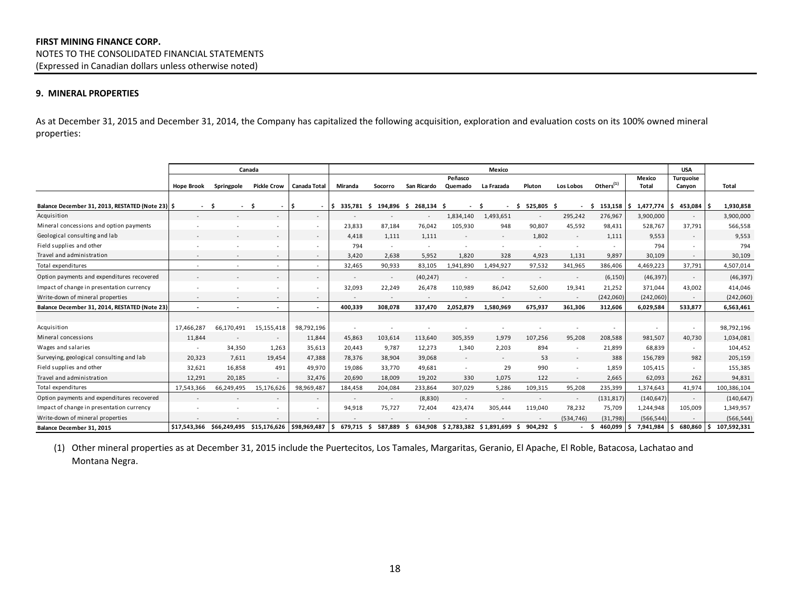#### **9. MINERAL PROPERTIES**

As at December 31, 2015 and December 31, 2014, the Company has capitalized the following acquisition, exploration and evaluation costs on its 100% owned mineral properties:

|                                                  |                   |                          | Canada                                 |                          |                  |                          |                          |                    | Mexico                          |                          |                          |                       |                 | <b>USA</b>                 |             |
|--------------------------------------------------|-------------------|--------------------------|----------------------------------------|--------------------------|------------------|--------------------------|--------------------------|--------------------|---------------------------------|--------------------------|--------------------------|-----------------------|-----------------|----------------------------|-------------|
|                                                  | <b>Hope Brook</b> | Springpole               | <b>Pickle Crow</b>                     | <b>Canada Total</b>      | Miranda          | Socorro                  | San Ricardo              | Peñasco<br>Quemado | La Frazada                      | Pluton                   | Los Lobos                | Others <sup>(1)</sup> | Mexico<br>Total | <b>Turauoise</b><br>Canyon | Total       |
|                                                  |                   |                          |                                        |                          |                  |                          |                          |                    |                                 |                          |                          |                       |                 |                            |             |
| Balance December 31, 2013, RESTATED (Note 23) \$ | $\sim$            | - S                      | -Ś<br>$\sim$                           |                          | 335.781          | 194,896<br>s.            | 268,134 \$<br>-S         |                    |                                 | 525,805<br>-S            | - \$                     | 153,158<br>-Ś         | 1,477,774       | 453,084<br>IS.             | 1,930,858   |
| Acquisition                                      |                   |                          |                                        |                          |                  |                          | $\sim$                   | 1,834,140          | 1,493,651                       | $\overline{\phantom{a}}$ | 295,242                  | 276,967               | 3,900,000       | $\sim$                     | 3,900,000   |
| Mineral concessions and option payments          |                   |                          |                                        |                          | 23,833           | 87.184                   | 76,042                   | 105,930            | 948                             | 90,807                   | 45,592                   | 98,431                | 528,767         | 37,791                     | 566,558     |
| Geological consulting and lab                    |                   |                          |                                        | $\sim$                   | 4.418            | 1.111                    | 1.111                    |                    | $\overline{\phantom{a}}$        | 1,802                    | $\overline{\phantom{a}}$ | 1,111                 | 9,553           | $\sim$                     | 9,553       |
| Field supplies and other                         |                   |                          |                                        |                          | 794              |                          | $\overline{\phantom{a}}$ |                    |                                 | $\sim$                   | $\overline{\phantom{a}}$ |                       | 794             |                            | 794         |
| Travel and administration                        |                   |                          | $\sim$                                 | $\sim$                   | 3.420            | 2.638                    | 5.952                    | 1,820              | 328                             | 4,923                    | 1,131                    | 9,897                 | 30,109          | $\sim$                     | 30,109      |
| Total expenditures                               |                   |                          | $\sim$                                 | $\sim$                   | 32,465           | 90,933                   | 83,105                   | 1,941,890          | 1,494,927                       | 97,532                   | 341,965                  | 386,406               | 4,469,223       | 37,791                     | 4,507,014   |
| Option payments and expenditures recovered       |                   |                          | $\sim$                                 | $\sim$                   |                  | $\overline{\phantom{a}}$ | (40, 247)                |                    |                                 | $\overline{\phantom{a}}$ | $\overline{\phantom{a}}$ | (6, 150)              | (46, 397)       | $\sim$                     | (46, 397)   |
| Impact of change in presentation currency        |                   |                          |                                        | $\overline{\phantom{a}}$ | 32,093           | 22,249                   | 26,478                   | 110,989            | 86,042                          | 52,600                   | 19,341                   | 21,252                | 371,044         | 43,002                     | 414,046     |
| Write-down of mineral properties                 |                   |                          | $\sim$                                 |                          |                  |                          |                          |                    | $\overline{\phantom{a}}$        | $\overline{\phantom{a}}$ | $\overline{\phantom{a}}$ | (242,060)             | (242,060)       |                            | (242,060)   |
| Balance December 31, 2014, RESTATED (Note 23)    | $\sim$            |                          | ٠                                      | $\sim$                   | 400.339          | 308.078                  | 337.470                  | 2,052,879          | 1,580,969                       | 675,937                  | 361,306                  | 312,606               | 6,029,584       | 533,877                    | 6,563,461   |
|                                                  |                   |                          |                                        |                          |                  |                          |                          |                    |                                 |                          |                          |                       |                 |                            |             |
| Acquisition                                      | 17,466,287        | 66,170,491               | 15,155,418                             | 98,792,196               |                  |                          |                          |                    |                                 |                          |                          |                       |                 |                            | 98,792,196  |
| Mineral concessions                              | 11,844            | $\overline{\phantom{a}}$ | $\overline{\phantom{a}}$               | 11,844                   | 45,863           | 103,614                  | 113,640                  | 305,359            | 1,979                           | 107,256                  | 95,208                   | 208,588               | 981,507         | 40,730                     | 1,034,081   |
| Wages and salaries                               |                   | 34,350                   | 1,263                                  | 35,613                   | 20,443           | 9,787                    | 12,273                   | 1,340              | 2,203                           | 894                      |                          | 21,899                | 68,839          |                            | 104,452     |
| Surveying, geological consulting and lab         | 20,323            | 7.611                    | 19,454                                 | 47,388                   | 78,376           | 38,904                   | 39.068                   |                    | $\overline{\phantom{a}}$        | 53                       | $\sim$                   | 388                   | 156,789         | 982                        | 205,159     |
| Field supplies and other                         | 32,621            | 16,858                   | 491                                    | 49,970                   | 19,086           | 33,770                   | 49,681                   |                    | 29                              | 990                      |                          | 1,859                 | 105,415         |                            | 155,385     |
| Travel and administration                        | 12,291            | 20,185                   |                                        | 32,476                   | 20,690           | 18,009                   | 19,202                   | 330                | 1,075                           | 122                      | $\overline{\phantom{a}}$ | 2,665                 | 62,093          | 262                        | 94,831      |
| Total expenditures                               | 17,543,366        | 66,249,495               | 15,176,626                             | 98,969,487               | 184,458          | 204,084                  | 233,864                  | 307,029            | 5,286                           | 109,315                  | 95,208                   | 235,399               | 1,374,643       | 41,974                     | 100,386,104 |
| Option payments and expenditures recovered       |                   |                          | ٠                                      | $\sim$                   |                  |                          | (8,830)                  |                    |                                 |                          | $\overline{\phantom{a}}$ | (131, 817)            | (140, 647)      | $\overline{\phantom{a}}$   | (140, 647)  |
| Impact of change in presentation currency        |                   |                          |                                        |                          | 94,918           | 75,727                   | 72,404                   | 423,474            | 305,444                         | 119,040                  | 78,232                   | 75,709                | 1,244,948       | 105,009                    | 1,349,957   |
| Write-down of mineral properties                 |                   |                          |                                        |                          |                  |                          |                          |                    |                                 |                          | (534, 746)               | (31,798)              | (566, 544)      |                            | (566, 544)  |
| Balance December 31, 2015                        | \$17.543.366      |                          | \$66,249,495 \$15,176,626 \$98,969,487 |                          | 679.715 \$<br>۱s | 587,889                  | -S                       |                    | 634,908 \$2,783,382 \$1,891,699 | 904.292<br>s.            |                          | 460,099               | 7,941,984       | 680,860                    | 107,592,331 |

(1) Other mineral properties as at December 31, 2015 include the Puertecitos, Los Tamales, Margaritas, Geranio, El Apache, El Roble, Batacosa, Lachatao and Montana Negra.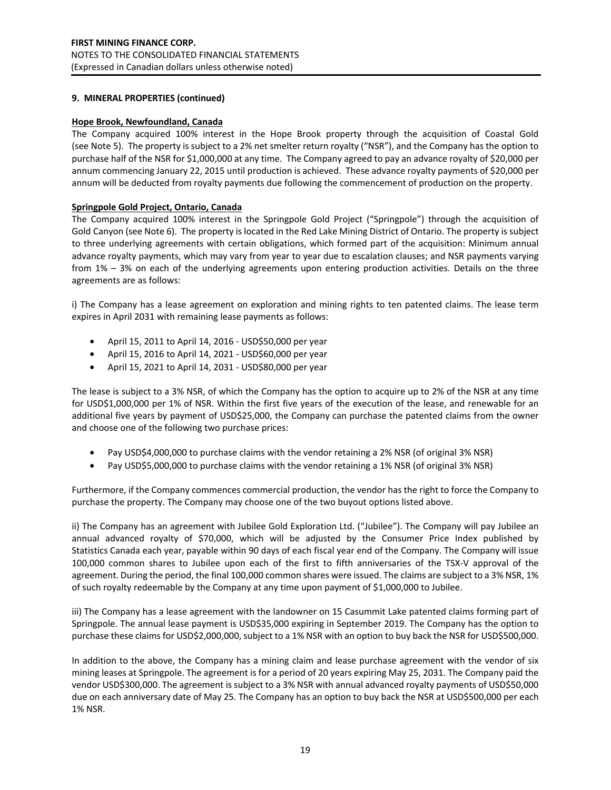### **9. MINERAL PROPERTIES (continued)**

### **Hope Brook, Newfoundland, Canada**

The Company acquired 100% interest in the Hope Brook property through the acquisition of Coastal Gold (see Note 5). The property is subject to a 2% net smelter return royalty ("NSR"), and the Company has the option to purchase half of the NSR for \$1,000,000 at any time. The Company agreed to pay an advance royalty of \$20,000 per annum commencing January 22, 2015 until production is achieved. These advance royalty payments of \$20,000 per annum will be deducted from royalty payments due following the commencement of production on the property.

### **Springpole Gold Project, Ontario, Canada**

The Company acquired 100% interest in the Springpole Gold Project ("Springpole") through the acquisition of Gold Canyon (see Note 6). The property is located in the Red Lake Mining District of Ontario. The property is subject to three underlying agreements with certain obligations, which formed part of the acquisition: Minimum annual advance royalty payments, which may vary from year to year due to escalation clauses; and NSR payments varying from 1% – 3% on each of the underlying agreements upon entering production activities. Details on the three agreements are as follows:

i) The Company has a lease agreement on exploration and mining rights to ten patented claims. The lease term expires in April 2031 with remaining lease payments as follows:

- April 15, 2011 to April 14, 2016 USD\$50,000 per year
- April 15, 2016 to April 14, 2021 USD\$60,000 per year
- April 15, 2021 to April 14, 2031 USD\$80,000 per year

The lease is subject to a 3% NSR, of which the Company has the option to acquire up to 2% of the NSR at any time for USD\$1,000,000 per 1% of NSR. Within the first five years of the execution of the lease, and renewable for an additional five years by payment of USD\$25,000, the Company can purchase the patented claims from the owner and choose one of the following two purchase prices:

- Pay USD\$4,000,000 to purchase claims with the vendor retaining a 2% NSR (of original 3% NSR)
- Pay USD\$5,000,000 to purchase claims with the vendor retaining a 1% NSR (of original 3% NSR)

Furthermore, if the Company commences commercial production, the vendor has the right to force the Company to purchase the property. The Company may choose one of the two buyout options listed above.

ii) The Company has an agreement with Jubilee Gold Exploration Ltd. ("Jubilee"). The Company will pay Jubilee an annual advanced royalty of \$70,000, which will be adjusted by the Consumer Price Index published by Statistics Canada each year, payable within 90 days of each fiscal year end of the Company. The Company will issue 100,000 common shares to Jubilee upon each of the first to fifth anniversaries of the TSX-V approval of the agreement. During the period, the final 100,000 common shares were issued. The claims are subject to a 3% NSR, 1% of such royalty redeemable by the Company at any time upon payment of \$1,000,000 to Jubilee.

iii) The Company has a lease agreement with the landowner on 15 Casummit Lake patented claims forming part of Springpole. The annual lease payment is USD\$35,000 expiring in September 2019. The Company has the option to purchase these claims for USD\$2,000,000, subject to a 1% NSR with an option to buy back the NSR for USD\$500,000.

In addition to the above, the Company has a mining claim and lease purchase agreement with the vendor of six mining leases at Springpole. The agreement is for a period of 20 years expiring May 25, 2031. The Company paid the vendor USD\$300,000. The agreement is subject to a 3% NSR with annual advanced royalty payments of USD\$50,000 due on each anniversary date of May 25. The Company has an option to buy back the NSR at USD\$500,000 per each 1% NSR.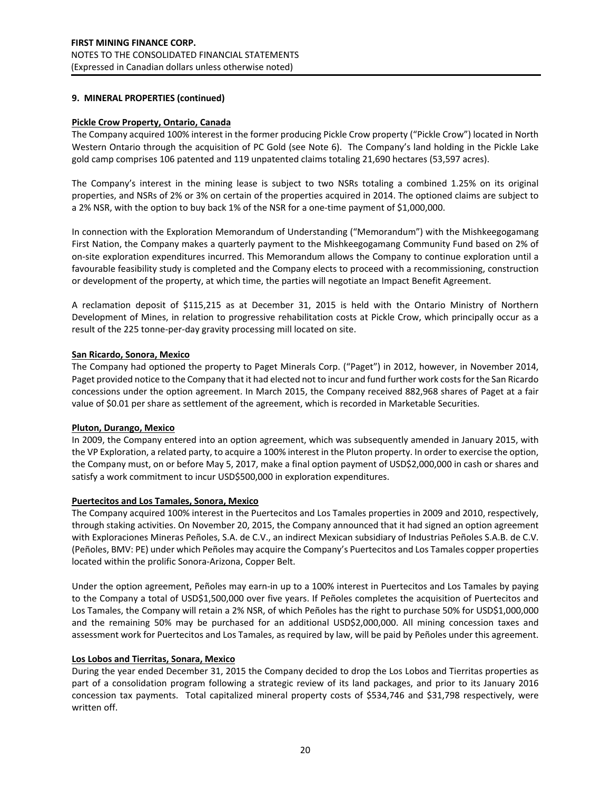### **9. MINERAL PROPERTIES (continued)**

### **Pickle Crow Property, Ontario, Canada**

The Company acquired 100% interest in the former producing Pickle Crow property ("Pickle Crow") located in North Western Ontario through the acquisition of PC Gold (see Note 6). The Company's land holding in the Pickle Lake gold camp comprises 106 patented and 119 unpatented claims totaling 21,690 hectares (53,597 acres).

The Company's interest in the mining lease is subject to two NSRs totaling a combined 1.25% on its original properties, and NSRs of 2% or 3% on certain of the properties acquired in 2014. The optioned claims are subject to a 2% NSR, with the option to buy back 1% of the NSR for a one-time payment of \$1,000,000.

In connection with the Exploration Memorandum of Understanding ("Memorandum") with the Mishkeegogamang First Nation, the Company makes a quarterly payment to the Mishkeegogamang Community Fund based on 2% of on-site exploration expenditures incurred. This Memorandum allows the Company to continue exploration until a favourable feasibility study is completed and the Company elects to proceed with a recommissioning, construction or development of the property, at which time, the parties will negotiate an Impact Benefit Agreement.

A reclamation deposit of \$115,215 as at December 31, 2015 is held with the Ontario Ministry of Northern Development of Mines, in relation to progressive rehabilitation costs at Pickle Crow, which principally occur as a result of the 225 tonne-per-day gravity processing mill located on site.

### **San Ricardo, Sonora, Mexico**

The Company had optioned the property to Paget Minerals Corp. ("Paget") in 2012, however, in November 2014, Paget provided notice to the Company that it had elected not to incur and fund further work costs for the San Ricardo concessions under the option agreement. In March 2015, the Company received 882,968 shares of Paget at a fair value of \$0.01 per share as settlement of the agreement, which is recorded in Marketable Securities.

### **Pluton, Durango, Mexico**

In 2009, the Company entered into an option agreement, which was subsequently amended in January 2015, with the VP Exploration, a related party, to acquire a 100% interest in the Pluton property. In order to exercise the option, the Company must, on or before May 5, 2017, make a final option payment of USD\$2,000,000 in cash or shares and satisfy a work commitment to incur USD\$500,000 in exploration expenditures.

### **Puertecitos and Los Tamales, Sonora, Mexico**

The Company acquired 100% interest in the Puertecitos and Los Tamales properties in 2009 and 2010, respectively, through staking activities. On November 20, 2015, the Company announced that it had signed an option agreement with Exploraciones Mineras Peñoles, S.A. de C.V., an indirect Mexican subsidiary of Industrias Peñoles S.A.B. de C.V. (Peñoles, BMV: PE) under which Peñoles may acquire the Company's Puertecitos and Los Tamales copper properties located within the prolific Sonora-Arizona, Copper Belt.

Under the option agreement, Peñoles may earn-in up to a 100% interest in Puertecitos and Los Tamales by paying to the Company a total of USD\$1,500,000 over five years. If Peñoles completes the acquisition of Puertecitos and Los Tamales, the Company will retain a 2% NSR, of which Peñoles has the right to purchase 50% for USD\$1,000,000 and the remaining 50% may be purchased for an additional USD\$2,000,000. All mining concession taxes and assessment work for Puertecitos and Los Tamales, as required by law, will be paid by Peñoles under this agreement.

### **Los Lobos and Tierritas, Sonara, Mexico**

During the year ended December 31, 2015 the Company decided to drop the Los Lobos and Tierritas properties as part of a consolidation program following a strategic review of its land packages, and prior to its January 2016 concession tax payments. Total capitalized mineral property costs of \$534,746 and \$31,798 respectively, were written off.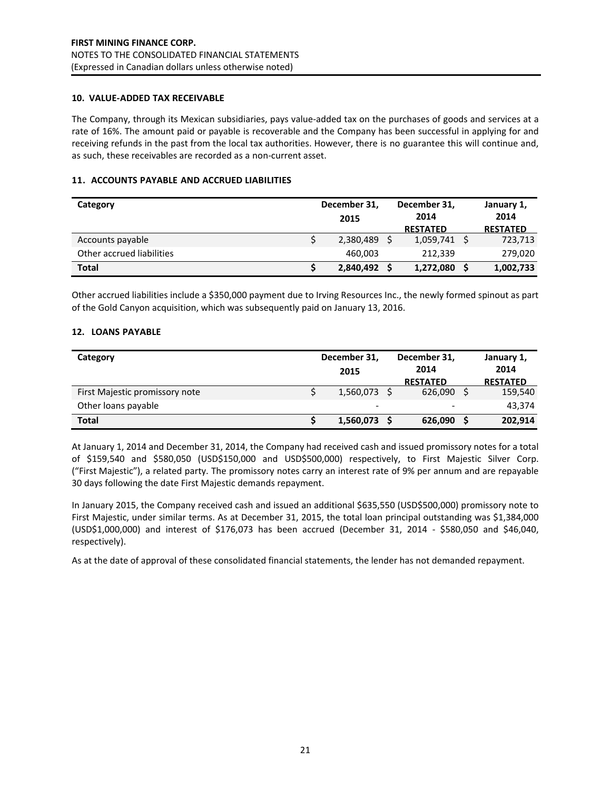#### **10. VALUE-ADDED TAX RECEIVABLE**

The Company, through its Mexican subsidiaries, pays value-added tax on the purchases of goods and services at a rate of 16%. The amount paid or payable is recoverable and the Company has been successful in applying for and receiving refunds in the past from the local tax authorities. However, there is no guarantee this will continue and, as such, these receivables are recorded as a non-current asset.

### **11. ACCOUNTS PAYABLE AND ACCRUED LIABILITIES**

| Category                  | December 31,<br>2015 | December 31,<br>2014<br><b>RESTATED</b> | January 1,<br>2014<br><b>RESTATED</b> |
|---------------------------|----------------------|-----------------------------------------|---------------------------------------|
| Accounts payable          | 2,380,489 \$         | $1,059,741$ \$                          | 723,713                               |
| Other accrued liabilities | 460,003              | 212,339                                 | 279,020                               |
| <b>Total</b>              | 2,840,492 \$         | 1,272,080                               | 1,002,733                             |

Other accrued liabilities include a \$350,000 payment due to Irving Resources Inc., the newly formed spinout as part of the Gold Canyon acquisition, which was subsequently paid on January 13, 2016.

### **12. LOANS PAYABLE**

| Category                       | December 31,<br>2015     | December 31,<br>2014<br><b>RESTATED</b> | January 1,<br>2014<br><b>RESTATED</b> |
|--------------------------------|--------------------------|-----------------------------------------|---------------------------------------|
| First Majestic promissory note | $1,560,073$ \$           | 626,090                                 | 159,540                               |
| Other loans payable            | $\overline{\phantom{a}}$ | -                                       | 43.374                                |
| <b>Total</b>                   | 1,560,073 \$             | 626,090                                 | 202,914                               |

At January 1, 2014 and December 31, 2014, the Company had received cash and issued promissory notes for a total of \$159,540 and \$580,050 (USD\$150,000 and USD\$500,000) respectively, to First Majestic Silver Corp. ("First Majestic"), a related party. The promissory notes carry an interest rate of 9% per annum and are repayable 30 days following the date First Majestic demands repayment.

In January 2015, the Company received cash and issued an additional \$635,550 (USD\$500,000) promissory note to First Majestic, under similar terms. As at December 31, 2015, the total loan principal outstanding was \$1,384,000 (USD\$1,000,000) and interest of \$176,073 has been accrued (December 31, 2014 - \$580,050 and \$46,040, respectively).

As at the date of approval of these consolidated financial statements, the lender has not demanded repayment.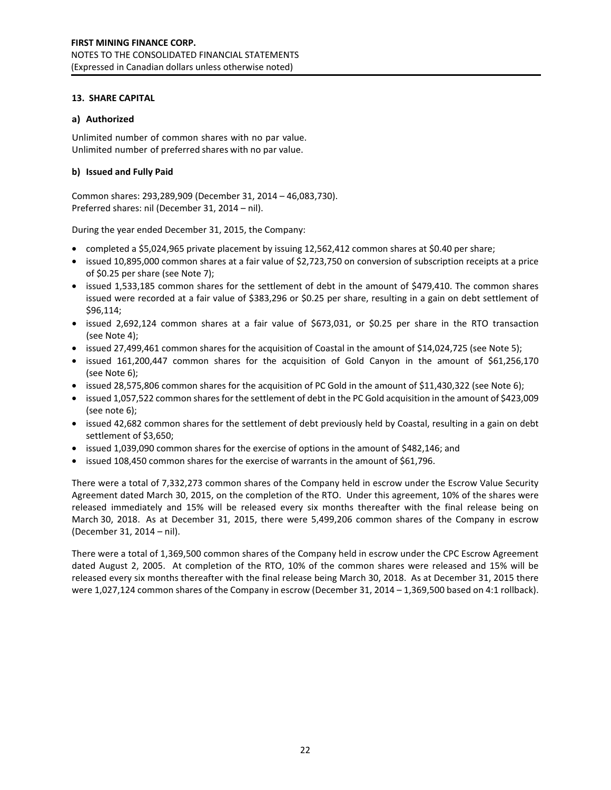#### **13. SHARE CAPITAL**

### **a) Authorized**

Unlimited number of common shares with no par value. Unlimited number of preferred shares with no par value.

#### **b) Issued and Fully Paid**

Common shares: 293,289,909 (December 31, 2014 – 46,083,730). Preferred shares: nil (December 31, 2014 – nil).

During the year ended December 31, 2015, the Company:

- completed a \$5,024,965 private placement by issuing 12,562,412 common shares at \$0.40 per share;
- issued 10,895,000 common shares at a fair value of \$2,723,750 on conversion of subscription receipts at a price of \$0.25 per share (see Note 7);
- issued 1,533,185 common shares for the settlement of debt in the amount of \$479,410. The common shares issued were recorded at a fair value of \$383,296 or \$0.25 per share, resulting in a gain on debt settlement of \$96,114;
- issued 2,692,124 common shares at a fair value of \$673,031, or \$0.25 per share in the RTO transaction (see Note 4);
- issued 27,499,461 common shares for the acquisition of Coastal in the amount of \$14,024,725 (see Note 5);
- issued 161,200,447 common shares for the acquisition of Gold Canyon in the amount of \$61,256,170 (see Note 6);
- issued 28,575,806 common shares for the acquisition of PC Gold in the amount of \$11,430,322 (see Note 6);
- issued 1,057,522 common shares for the settlement of debt in the PC Gold acquisition in the amount of \$423,009 (see note 6);
- issued 42,682 common shares for the settlement of debt previously held by Coastal, resulting in a gain on debt settlement of \$3,650;
- issued 1,039,090 common shares for the exercise of options in the amount of \$482,146; and
- issued 108,450 common shares for the exercise of warrants in the amount of \$61,796.

There were a total of 7,332,273 common shares of the Company held in escrow under the Escrow Value Security Agreement dated March 30, 2015, on the completion of the RTO. Under this agreement, 10% of the shares were released immediately and 15% will be released every six months thereafter with the final release being on March 30, 2018. As at December 31, 2015, there were 5,499,206 common shares of the Company in escrow (December 31, 2014 – nil).

There were a total of 1,369,500 common shares of the Company held in escrow under the CPC Escrow Agreement dated August 2, 2005. At completion of the RTO, 10% of the common shares were released and 15% will be released every six months thereafter with the final release being March 30, 2018. As at December 31, 2015 there were 1,027,124 common shares of the Company in escrow (December 31, 2014 – 1,369,500 based on 4:1 rollback).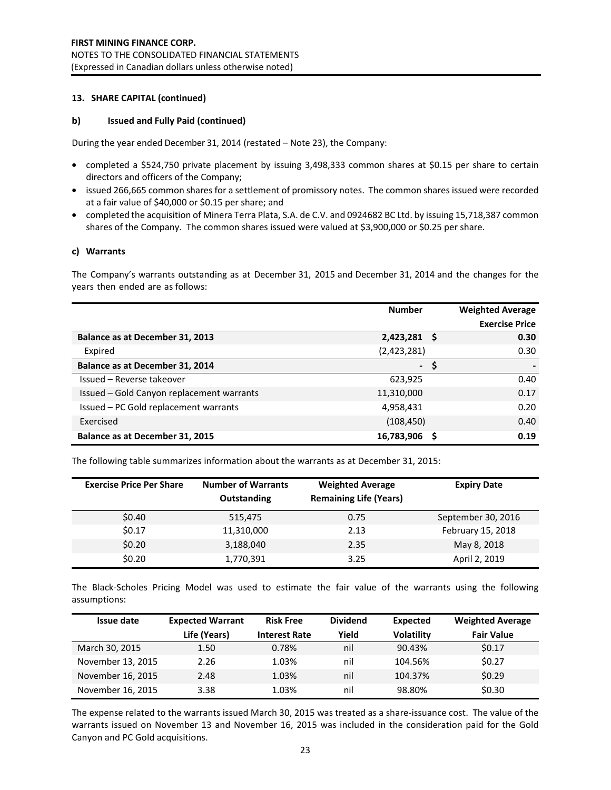#### **13. SHARE CAPITAL (continued)**

#### **b) Issued and Fully Paid (continued)**

During the year ended December 31, 2014 (restated – Note 23), the Company:

- completed a \$524,750 private placement by issuing 3,498,333 common shares at \$0.15 per share to certain directors and officers of the Company;
- issued 266,665 common shares for a settlement of promissory notes. The common shares issued were recorded at a fair value of \$40,000 or \$0.15 per share; and
- completed the acquisition of Minera Terra Plata, S.A. de C.V. and 0924682 BC Ltd. by issuing 15,718,387 common shares of the Company. The common shares issued were valued at \$3,900,000 or \$0.25 per share.

#### **c) Warrants**

The Company's warrants outstanding as at December 31, 2015 and December 31, 2014 and the changes for the years then ended are as follows:

|                                           | <b>Number</b>  | <b>Weighted Average</b> |
|-------------------------------------------|----------------|-------------------------|
|                                           |                | <b>Exercise Price</b>   |
| Balance as at December 31, 2013           | $2,423,281$ \$ | 0.30                    |
| Expired                                   | (2,423,281)    | 0.30                    |
| Balance as at December 31, 2014           | $-5$           |                         |
| Issued - Reverse takeover                 | 623,925        | 0.40                    |
| Issued - Gold Canyon replacement warrants | 11,310,000     | 0.17                    |
| Issued - PC Gold replacement warrants     | 4,958,431      | 0.20                    |
| Exercised                                 | (108, 450)     | 0.40                    |
| Balance as at December 31, 2015           | 16,783,906     | 0.19                    |

The following table summarizes information about the warrants as at December 31, 2015:

| <b>Exercise Price Per Share</b> | <b>Number of Warrants</b><br>Outstanding | <b>Weighted Average</b><br><b>Remaining Life (Years)</b> | <b>Expiry Date</b> |
|---------------------------------|------------------------------------------|----------------------------------------------------------|--------------------|
| \$0.40                          | 515,475                                  | 0.75                                                     | September 30, 2016 |
| \$0.17                          | 11,310,000                               | 2.13                                                     | February 15, 2018  |
| \$0.20                          | 3,188,040                                | 2.35                                                     | May 8, 2018        |
| \$0.20                          | 1,770,391                                | 3.25                                                     | April 2, 2019      |

The Black-Scholes Pricing Model was used to estimate the fair value of the warrants using the following assumptions:

| Issue date        | <b>Expected Warrant</b> | <b>Risk Free</b>     | <b>Dividend</b> | <b>Expected</b>   | <b>Weighted Average</b> |
|-------------------|-------------------------|----------------------|-----------------|-------------------|-------------------------|
|                   | Life (Years)            | <b>Interest Rate</b> | Yield           | <b>Volatility</b> | <b>Fair Value</b>       |
| March 30, 2015    | 1.50                    | 0.78%                | nil             | 90.43%            | \$0.17                  |
| November 13, 2015 | 2.26                    | 1.03%                | nil             | 104.56%           | \$0.27                  |
| November 16, 2015 | 2.48                    | 1.03%                | nil             | 104.37%           | \$0.29                  |
| November 16, 2015 | 3.38                    | 1.03%                | nil             | 98.80%            | \$0.30                  |

The expense related to the warrants issued March 30, 2015 was treated as a share-issuance cost. The value of the warrants issued on November 13 and November 16, 2015 was included in the consideration paid for the Gold Canyon and PC Gold acquisitions.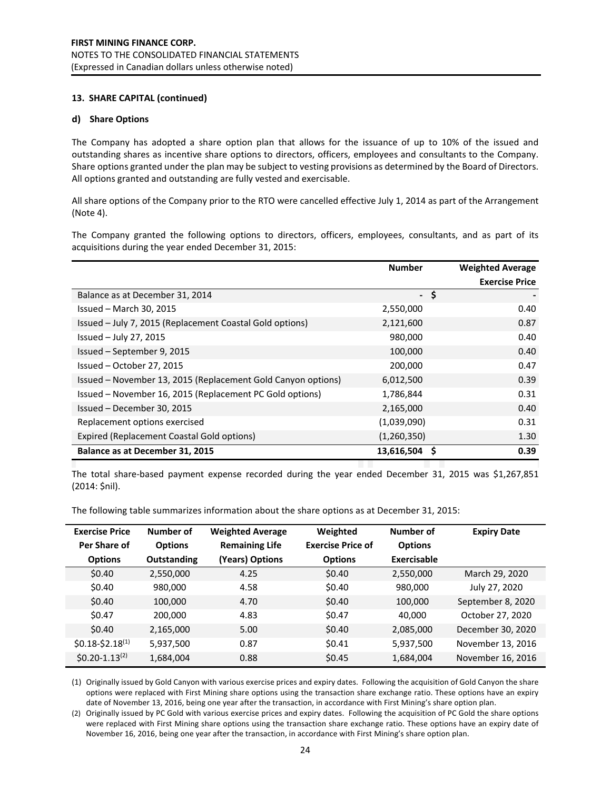### **13. SHARE CAPITAL (continued)**

#### **d) Share Options**

The Company has adopted a share option plan that allows for the issuance of up to 10% of the issued and outstanding shares as incentive share options to directors, officers, employees and consultants to the Company. Share options granted under the plan may be subject to vesting provisions as determined by the Board of Directors. All options granted and outstanding are fully vested and exercisable.

All share options of the Company prior to the RTO were cancelled effective July 1, 2014 as part of the Arrangement (Note 4).

The Company granted the following options to directors, officers, employees, consultants, and as part of its acquisitions during the year ended December 31, 2015:

|                                                              | <b>Number</b> | <b>Weighted Average</b> |
|--------------------------------------------------------------|---------------|-------------------------|
|                                                              |               | <b>Exercise Price</b>   |
| Balance as at December 31, 2014                              |               | -\$                     |
| Issued $-$ March 30, 2015                                    | 2,550,000     | 0.40                    |
| Issued - July 7, 2015 (Replacement Coastal Gold options)     | 2,121,600     | 0.87                    |
| Issued $-$ July 27, 2015                                     | 980,000       | 0.40                    |
| Issued - September 9, 2015                                   | 100,000       | 0.40                    |
| Issued - October 27, 2015                                    | 200,000       | 0.47                    |
| Issued - November 13, 2015 (Replacement Gold Canyon options) | 6,012,500     | 0.39                    |
| Issued - November 16, 2015 (Replacement PC Gold options)     | 1,786,844     | 0.31                    |
| Issued - December 30, 2015                                   | 2,165,000     | 0.40                    |
| Replacement options exercised                                | (1,039,090)   | 0.31                    |
| Expired (Replacement Coastal Gold options)                   | (1,260,350)   | 1.30                    |
| Balance as at December 31, 2015                              | 13,616,504 \$ | 0.39                    |

The total share-based payment expense recorded during the year ended December 31, 2015 was \$1,267,851 (2014: \$nil).

The following table summarizes information about the share options as at December 31, 2015:

| <b>Exercise Price</b> | Number of      | <b>Weighted Average</b> | Weighted                 | Number of      | <b>Expiry Date</b> |
|-----------------------|----------------|-------------------------|--------------------------|----------------|--------------------|
| Per Share of          | <b>Options</b> | <b>Remaining Life</b>   | <b>Exercise Price of</b> | <b>Options</b> |                    |
| <b>Options</b>        | Outstanding    | (Years) Options         | <b>Options</b>           | Exercisable    |                    |
| \$0.40                | 2,550,000      | 4.25                    | \$0.40                   | 2,550,000      | March 29, 2020     |
| \$0.40                | 980,000        | 4.58                    | \$0.40                   | 980,000        | July 27, 2020      |
| \$0.40                | 100,000        | 4.70                    | \$0.40                   | 100,000        | September 8, 2020  |
| \$0.47                | 200,000        | 4.83                    | \$0.47                   | 40,000         | October 27, 2020   |
| \$0.40                | 2,165,000      | 5.00                    | \$0.40                   | 2,085,000      | December 30, 2020  |
| $$0.18-$2.18^{(1)}$$  | 5,937,500      | 0.87                    | \$0.41                   | 5,937,500      | November 13, 2016  |
| $$0.20 - 1.13^{(2)}$$ | 1,684,004      | 0.88                    | \$0.45                   | 1,684,004      | November 16, 2016  |

(1) Originally issued by Gold Canyon with various exercise prices and expiry dates. Following the acquisition of Gold Canyon the share options were replaced with First Mining share options using the transaction share exchange ratio. These options have an expiry date of November 13, 2016, being one year after the transaction, in accordance with First Mining's share option plan.

(2) Originally issued by PC Gold with various exercise prices and expiry dates. Following the acquisition of PC Gold the share options were replaced with First Mining share options using the transaction share exchange ratio. These options have an expiry date of November 16, 2016, being one year after the transaction, in accordance with First Mining's share option plan.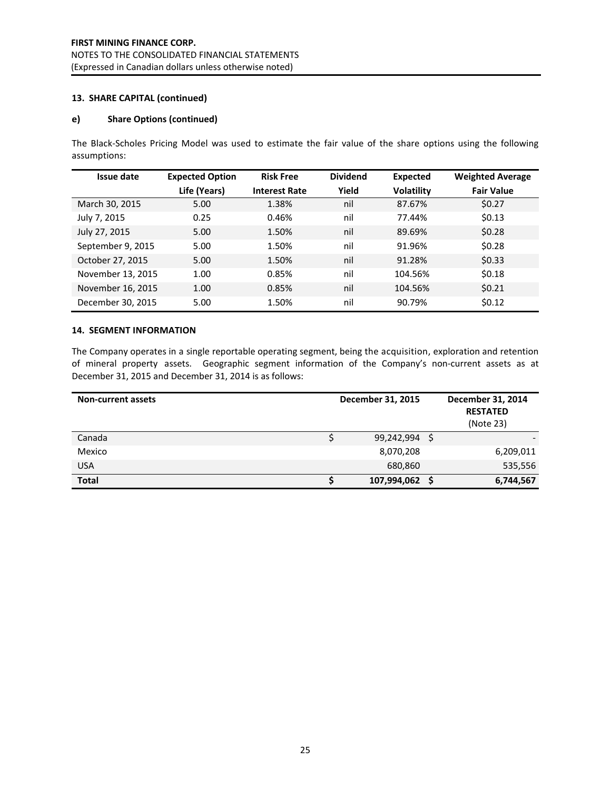### **13. SHARE CAPITAL (continued)**

### **e) Share Options (continued)**

The Black-Scholes Pricing Model was used to estimate the fair value of the share options using the following assumptions:

| <b>Issue date</b> | <b>Expected Option</b> | <b>Risk Free</b>     | <b>Dividend</b> | Expected          | <b>Weighted Average</b> |
|-------------------|------------------------|----------------------|-----------------|-------------------|-------------------------|
|                   | Life (Years)           | <b>Interest Rate</b> | Yield           | <b>Volatility</b> | <b>Fair Value</b>       |
| March 30, 2015    | 5.00                   | 1.38%                | nil             | 87.67%            | \$0.27                  |
| July 7, 2015      | 0.25                   | 0.46%                | nil             | 77.44%            | \$0.13                  |
| July 27, 2015     | 5.00                   | 1.50%                | nil             | 89.69%            | \$0.28                  |
| September 9, 2015 | 5.00                   | 1.50%                | nil             | 91.96%            | \$0.28                  |
| October 27, 2015  | 5.00                   | 1.50%                | nil             | 91.28%            | \$0.33                  |
| November 13, 2015 | 1.00                   | 0.85%                | nil             | 104.56%           | \$0.18                  |
| November 16, 2015 | 1.00                   | 0.85%                | nil             | 104.56%           | \$0.21                  |
| December 30, 2015 | 5.00                   | 1.50%                | nil             | 90.79%            | \$0.12                  |

### **14. SEGMENT INFORMATION**

The Company operates in a single reportable operating segment, being the acquisition, exploration and retention of mineral property assets. Geographic segment information of the Company's non-current assets as at December 31, 2015 and December 31, 2014 is as follows:

| <b>Non-current assets</b> | December 31, 2015 | December 31, 2014<br><b>RESTATED</b><br>(Note 23) |
|---------------------------|-------------------|---------------------------------------------------|
| Canada                    | 99,242,994        |                                                   |
| Mexico                    | 8,070,208         | 6,209,011                                         |
| <b>USA</b>                | 680,860           | 535,556                                           |
| <b>Total</b>              | 107,994,062       | 6,744,567                                         |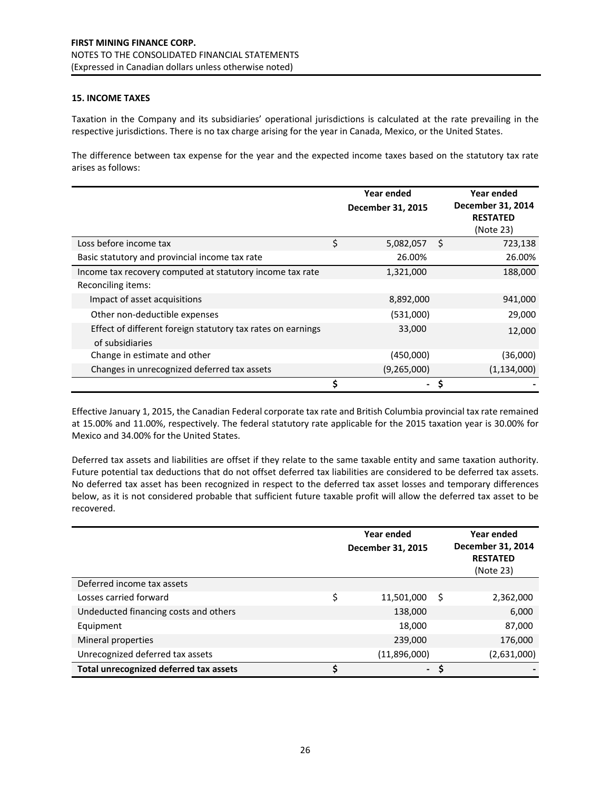### **15. INCOME TAXES**

Taxation in the Company and its subsidiaries' operational jurisdictions is calculated at the rate prevailing in the respective jurisdictions. There is no tax charge arising for the year in Canada, Mexico, or the United States.

The difference between tax expense for the year and the expected income taxes based on the statutory tax rate arises as follows:

|                                                                                |    | <b>Year ended</b><br>December 31, 2015 |    | Year ended<br>December 31, 2014<br><b>RESTATED</b><br>(Note 23) |
|--------------------------------------------------------------------------------|----|----------------------------------------|----|-----------------------------------------------------------------|
| Loss before income tax                                                         | \$ | 5,082,057                              | Ŝ. | 723,138                                                         |
| Basic statutory and provincial income tax rate                                 |    | 26.00%                                 |    | 26.00%                                                          |
| Income tax recovery computed at statutory income tax rate                      |    | 1,321,000                              |    | 188,000                                                         |
| Reconciling items:                                                             |    |                                        |    |                                                                 |
| Impact of asset acquisitions                                                   |    | 8,892,000                              |    | 941,000                                                         |
| Other non-deductible expenses                                                  |    | (531,000)                              |    | 29,000                                                          |
| Effect of different foreign statutory tax rates on earnings<br>of subsidiaries |    | 33,000                                 |    | 12,000                                                          |
| Change in estimate and other                                                   |    | (450,000)                              |    | (36,000)                                                        |
| Changes in unrecognized deferred tax assets                                    |    | (9,265,000)                            |    | (1, 134, 000)                                                   |
|                                                                                | Ś  |                                        |    |                                                                 |

Effective January 1, 2015, the Canadian Federal corporate tax rate and British Columbia provincial tax rate remained at 15.00% and 11.00%, respectively. The federal statutory rate applicable for the 2015 taxation year is 30.00% for Mexico and 34.00% for the United States.

Deferred tax assets and liabilities are offset if they relate to the same taxable entity and same taxation authority. Future potential tax deductions that do not offset deferred tax liabilities are considered to be deferred tax assets. No deferred tax asset has been recognized in respect to the deferred tax asset losses and temporary differences below, as it is not considered probable that sufficient future taxable profit will allow the deferred tax asset to be recovered.

|                                        |    | <b>Year ended</b><br>December 31, 2015 |    | Year ended<br>December 31, 2014<br><b>RESTATED</b><br>(Note 23) |
|----------------------------------------|----|----------------------------------------|----|-----------------------------------------------------------------|
| Deferred income tax assets             |    |                                        |    |                                                                 |
| Losses carried forward                 | \$ | 11,501,000                             | -S | 2,362,000                                                       |
| Undeducted financing costs and others  |    | 138,000                                |    | 6,000                                                           |
| Equipment                              |    | 18,000                                 |    | 87,000                                                          |
| Mineral properties                     |    | 239,000                                |    | 176,000                                                         |
| Unrecognized deferred tax assets       |    | (11,896,000)                           |    | (2,631,000)                                                     |
| Total unrecognized deferred tax assets | S  | $\overline{\phantom{0}}$               | S  |                                                                 |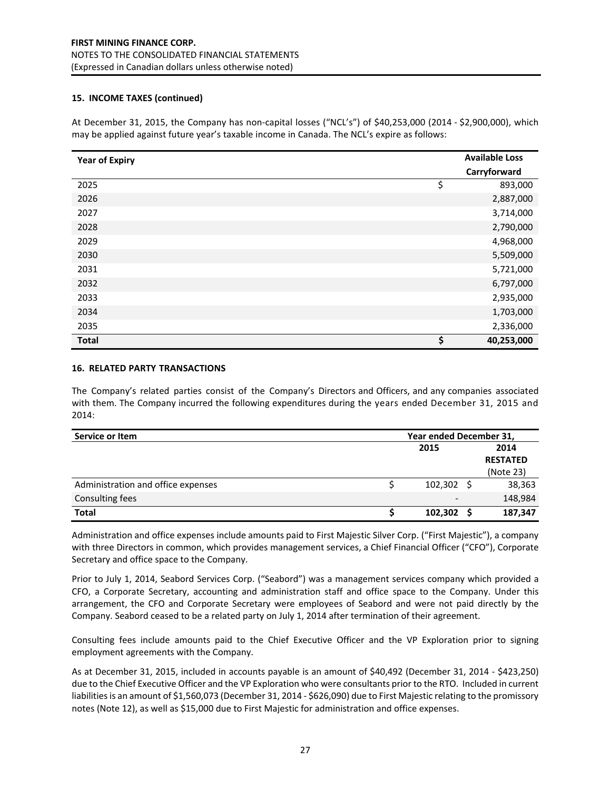### **15. INCOME TAXES (continued)**

At December 31, 2015, the Company has non-capital losses ("NCL's") of \$40,253,000 (2014 - \$2,900,000), which may be applied against future year's taxable income in Canada. The NCL's expire as follows:

| <b>Year of Expiry</b> | <b>Available Loss</b><br>Carryforward |
|-----------------------|---------------------------------------|
| 2025                  | \$<br>893,000                         |
| 2026                  | 2,887,000                             |
| 2027                  | 3,714,000                             |
| 2028                  | 2,790,000                             |
| 2029                  | 4,968,000                             |
| 2030                  | 5,509,000                             |
| 2031                  | 5,721,000                             |
| 2032                  | 6,797,000                             |
| 2033                  | 2,935,000                             |
| 2034                  | 1,703,000                             |
| 2035                  | 2,336,000                             |
| <b>Total</b>          | \$<br>40,253,000                      |

#### **16. RELATED PARTY TRANSACTIONS**

The Company's related parties consist of the Company's Directors and Officers, and any companies associated with them. The Company incurred the following expenditures during the years ended December 31, 2015 and 2014:

| Service or Item                    | Year ended December 31, |  |                 |  |
|------------------------------------|-------------------------|--|-----------------|--|
|                                    | 2015                    |  | 2014            |  |
|                                    |                         |  | <b>RESTATED</b> |  |
|                                    |                         |  | (Note 23)       |  |
| Administration and office expenses | 102,302                 |  | 38,363          |  |
| <b>Consulting fees</b>             | $\qquad \qquad$         |  | 148,984         |  |
| <b>Total</b>                       | 102,302                 |  | 187,347         |  |

Administration and office expenses include amounts paid to First Majestic Silver Corp. ("First Majestic"), a company with three Directors in common, which provides management services, a Chief Financial Officer ("CFO"), Corporate Secretary and office space to the Company.

Prior to July 1, 2014, Seabord Services Corp. ("Seabord") was a management services company which provided a CFO, a Corporate Secretary, accounting and administration staff and office space to the Company. Under this arrangement, the CFO and Corporate Secretary were employees of Seabord and were not paid directly by the Company. Seabord ceased to be a related party on July 1, 2014 after termination of their agreement.

Consulting fees include amounts paid to the Chief Executive Officer and the VP Exploration prior to signing employment agreements with the Company.

As at December 31, 2015, included in accounts payable is an amount of \$40,492 (December 31, 2014 - \$423,250) due to the Chief Executive Officer and the VP Exploration who were consultants prior to the RTO. Included in current liabilities is an amount of \$1,560,073 (December 31, 2014 - \$626,090) due to First Majestic relating to the promissory notes (Note 12), as well as \$15,000 due to First Majestic for administration and office expenses.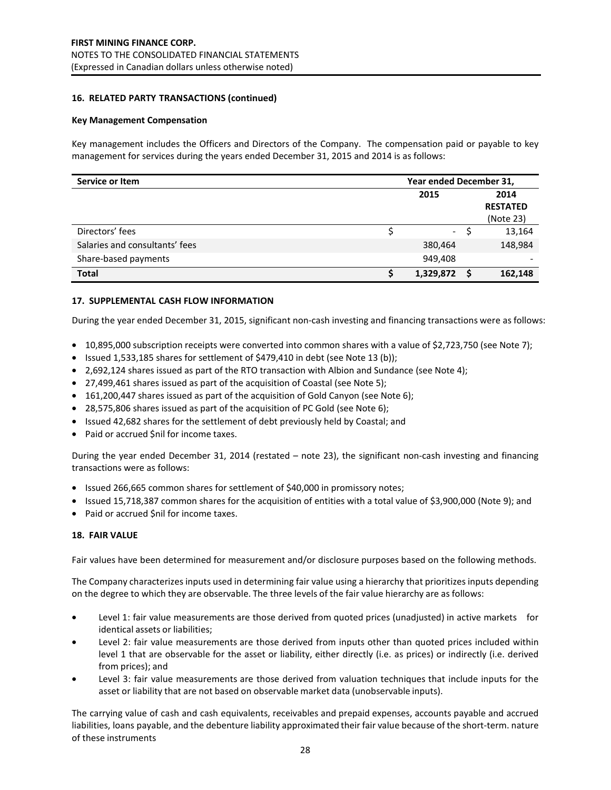#### **16. RELATED PARTY TRANSACTIONS (continued)**

#### **Key Management Compensation**

Key management includes the Officers and Directors of the Company. The compensation paid or payable to key management for services during the years ended December 31, 2015 and 2014 is as follows:

| Service or Item                | Year ended December 31, |  |                                      |  |
|--------------------------------|-------------------------|--|--------------------------------------|--|
|                                | 2015                    |  | 2014<br><b>RESTATED</b><br>(Note 23) |  |
| Directors' fees                | $\mathcal{L}^{\pm}$     |  | 13,164                               |  |
| Salaries and consultants' fees | 380,464                 |  | 148,984                              |  |
| Share-based payments           | 949,408                 |  |                                      |  |
| <b>Total</b>                   | 1,329,872               |  | 162,148                              |  |

#### **17. SUPPLEMENTAL CASH FLOW INFORMATION**

During the year ended December 31, 2015, significant non-cash investing and financing transactions were as follows:

- 10,895,000 subscription receipts were converted into common shares with a value of \$2,723,750 (see Note 7);
- Issued 1,533,185 shares for settlement of \$479,410 in debt (see Note 13 (b));
- 2,692,124 shares issued as part of the RTO transaction with Albion and Sundance (see Note 4);
- 27,499,461 shares issued as part of the acquisition of Coastal (see Note 5);
- 161,200,447 shares issued as part of the acquisition of Gold Canyon (see Note 6);
- 28,575,806 shares issued as part of the acquisition of PC Gold (see Note 6);
- Issued 42,682 shares for the settlement of debt previously held by Coastal; and
- Paid or accrued \$nil for income taxes.

During the year ended December 31, 2014 (restated – note 23), the significant non-cash investing and financing transactions were as follows:

- Issued 266,665 common shares for settlement of \$40,000 in promissory notes;
- Issued 15,718,387 common shares for the acquisition of entities with a total value of \$3,900,000 (Note 9); and
- Paid or accrued \$nil for income taxes.

#### **18. FAIR VALUE**

Fair values have been determined for measurement and/or disclosure purposes based on the following methods.

The Company characterizes inputs used in determining fair value using a hierarchy that prioritizes inputs depending on the degree to which they are observable. The three levels of the fair value hierarchy are as follows:

- Level 1: fair value measurements are those derived from quoted prices (unadjusted) in active markets for identical assets or liabilities;
- Level 2: fair value measurements are those derived from inputs other than quoted prices included within level 1 that are observable for the asset or liability, either directly (i.e. as prices) or indirectly (i.e. derived from prices); and
- Level 3: fair value measurements are those derived from valuation techniques that include inputs for the asset or liability that are not based on observable market data (unobservable inputs).

The carrying value of cash and cash equivalents, receivables and prepaid expenses, accounts payable and accrued liabilities, loans payable, and the debenture liability approximated their fair value because of the short-term. nature of these instruments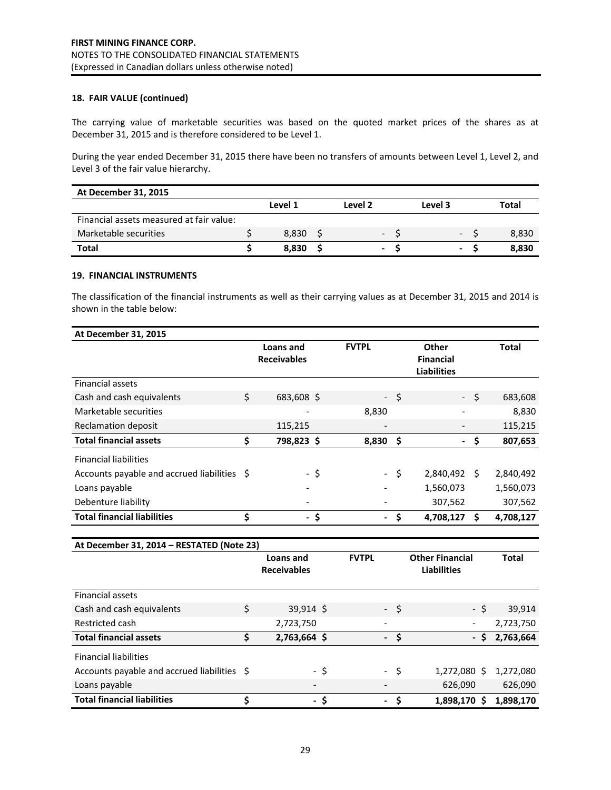### **18. FAIR VALUE (continued)**

The carrying value of marketable securities was based on the quoted market prices of the shares as at December 31, 2015 and is therefore considered to be Level 1.

During the year ended December 31, 2015 there have been no transfers of amounts between Level 1, Level 2, and Level 3 of the fair value hierarchy.

| At December 31, 2015                     |         |                |         |              |
|------------------------------------------|---------|----------------|---------|--------------|
|                                          | Level 1 | Level 2        | Level 3 | <b>Total</b> |
| Financial assets measured at fair value: |         |                |         |              |
| Marketable securities                    | 8.830   | $\sim$         | $\sim$  | 8,830        |
| <b>Total</b>                             | 8.830   | $\blacksquare$ | ۰.      | 8.830        |

### **19. FINANCIAL INSTRUMENTS**

The classification of the financial instruments as well as their carrying values as at December 31, 2015 and 2014 is shown in the table below:

| At December 31, 2015                        |    |                                        |      |                          |      |                                                 |      |              |
|---------------------------------------------|----|----------------------------------------|------|--------------------------|------|-------------------------------------------------|------|--------------|
|                                             |    | Loans and<br><b>Receivables</b>        |      | <b>FVTPL</b>             |      | Other<br><b>Financial</b><br><b>Liabilities</b> |      | <b>Total</b> |
| <b>Financial assets</b>                     |    |                                        |      |                          |      |                                                 |      |              |
| Cash and cash equivalents                   | Ś. | 683,608 \$                             |      |                          | - \$ |                                                 | Ś    | 683,608      |
| Marketable securities                       |    |                                        |      | 8,830                    |      |                                                 |      | 8,830        |
| <b>Reclamation deposit</b>                  |    | 115,215                                |      |                          |      |                                                 |      | 115,215      |
| <b>Total financial assets</b>               | \$ | 798,823 \$                             |      | 8,830                    | \$   |                                                 | \$   | 807,653      |
| <b>Financial liabilities</b>                |    |                                        |      |                          |      |                                                 |      |              |
| Accounts payable and accrued liabilities \$ |    |                                        | $-5$ |                          | \$   | 2,840,492                                       | Ŝ.   | 2,840,492    |
| Loans payable                               |    |                                        |      |                          |      | 1,560,073                                       |      | 1,560,073    |
| Debenture liability                         |    |                                        |      |                          |      | 307,562                                         |      | 307,562      |
| <b>Total financial liabilities</b>          | \$ |                                        | - \$ |                          | \$   | 4,708,127                                       | Ŝ.   | 4,708,127    |
|                                             |    |                                        |      |                          |      |                                                 |      |              |
| At December 31, 2014 - RESTATED (Note 23)   |    |                                        |      |                          |      |                                                 |      |              |
|                                             |    | <b>Loans and</b><br><b>Receivables</b> |      | <b>FVTPL</b>             |      | <b>Other Financial</b><br><b>Liabilities</b>    |      | <b>Total</b> |
| <b>Financial assets</b>                     |    |                                        |      |                          |      |                                                 |      |              |
| Cash and cash equivalents                   | \$ | $39,914$ \$                            |      |                          | - \$ |                                                 | - \$ | 39,914       |
| Restricted cash                             |    | 2,723,750                              |      |                          |      |                                                 |      | 2,723,750    |
| <b>Total financial assets</b>               | \$ | 2,763,664 \$                           |      | $\overline{\phantom{0}}$ | \$   |                                                 | - \$ | 2,763,664    |
| <b>Financial liabilities</b>                |    |                                        |      |                          |      |                                                 |      |              |
| Accounts payable and accrued liabilities \$ |    |                                        | - \$ |                          | \$   | 1,272,080 \$                                    |      | 1,272,080    |
| Loans payable                               |    |                                        |      |                          |      | 626,090                                         |      | 626,090      |
| <b>Total financial liabilities</b>          | \$ |                                        | - \$ |                          | \$   | 1,898,170 \$                                    |      | 1,898,170    |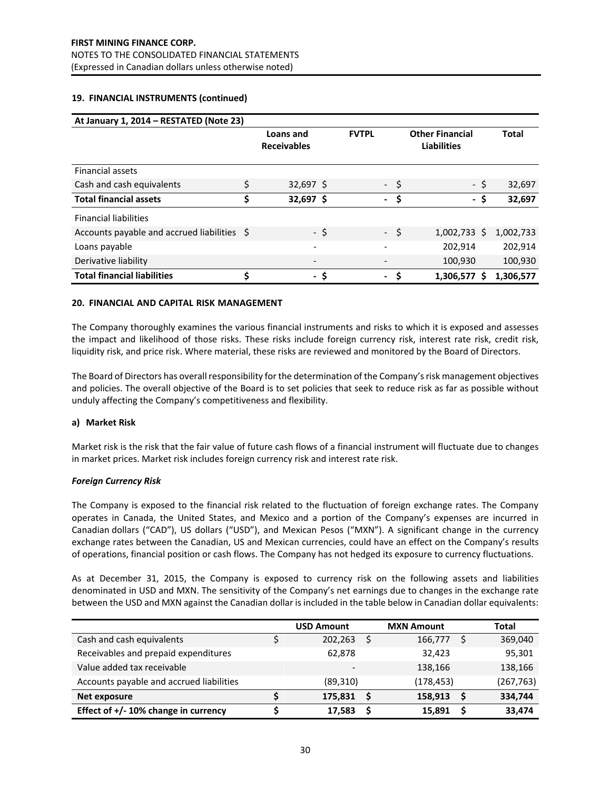#### **19. FINANCIAL INSTRUMENTS (continued)**

| At January 1, 2014 - RESTATED (Note 23)     |                                 |      |                          |                                              |                |              |
|---------------------------------------------|---------------------------------|------|--------------------------|----------------------------------------------|----------------|--------------|
|                                             | Loans and<br><b>Receivables</b> |      | <b>FVTPL</b>             | <b>Other Financial</b><br><b>Liabilities</b> |                | <b>Total</b> |
| <b>Financial assets</b>                     |                                 |      |                          |                                              |                |              |
| Cash and cash equivalents                   | \$<br>$32,697$ \$               |      |                          | - \$                                         | - \$           | 32,697       |
| <b>Total financial assets</b>               | \$<br>$32,697$ \$               |      | $\overline{\phantom{0}}$ | \$                                           | - \$           | 32,697       |
| <b>Financial liabilities</b>                |                                 |      |                          |                                              |                |              |
| Accounts payable and accrued liabilities \$ |                                 | - \$ |                          | $-5$                                         | $1,002,733$ \$ | 1,002,733    |
| Loans payable                               |                                 |      |                          |                                              | 202,914        | 202,914      |
| Derivative liability                        |                                 |      |                          |                                              | 100,930        | 100,930      |
| <b>Total financial liabilities</b>          | \$                              | - \$ |                          | $\sim$                                       | 1,306,577 \$   | 1,306,577    |

#### **20. FINANCIAL AND CAPITAL RISK MANAGEMENT**

The Company thoroughly examines the various financial instruments and risks to which it is exposed and assesses the impact and likelihood of those risks. These risks include foreign currency risk, interest rate risk, credit risk, liquidity risk, and price risk. Where material, these risks are reviewed and monitored by the Board of Directors.

The Board of Directors has overall responsibility for the determination of the Company's risk management objectives and policies. The overall objective of the Board is to set policies that seek to reduce risk as far as possible without unduly affecting the Company's competitiveness and flexibility.

#### **a) Market Risk**

Market risk is the risk that the fair value of future cash flows of a financial instrument will fluctuate due to changes in market prices. Market risk includes foreign currency risk and interest rate risk.

#### *Foreign Currency Risk*

The Company is exposed to the financial risk related to the fluctuation of foreign exchange rates. The Company operates in Canada, the United States, and Mexico and a portion of the Company's expenses are incurred in Canadian dollars ("CAD"), US dollars ("USD"), and Mexican Pesos ("MXN"). A significant change in the currency exchange rates between the Canadian, US and Mexican currencies, could have an effect on the Company's results of operations, financial position or cash flows. The Company has not hedged its exposure to currency fluctuations.

As at December 31, 2015, the Company is exposed to currency risk on the following assets and liabilities denominated in USD and MXN. The sensitivity of the Company's net earnings due to changes in the exchange rate between the USD and MXN against the Canadian dollar is included in the table below in Canadian dollar equivalents:

|                                          | <b>USD Amount</b> | <b>MXN Amount</b> |   | <b>Total</b> |
|------------------------------------------|-------------------|-------------------|---|--------------|
| Cash and cash equivalents                | 202,263           | 166,777           |   | 369,040      |
| Receivables and prepaid expenditures     | 62.878            | 32,423            |   | 95,301       |
| Value added tax receivable               |                   | 138,166           |   | 138,166      |
| Accounts payable and accrued liabilities | (89, 310)         | (178, 453)        |   | (267, 763)   |
| Net exposure                             | 175,831           | 158,913           | S | 334,744      |
| Effect of $+/-10\%$ change in currency   | 17.583            | 15,891            |   | 33,474       |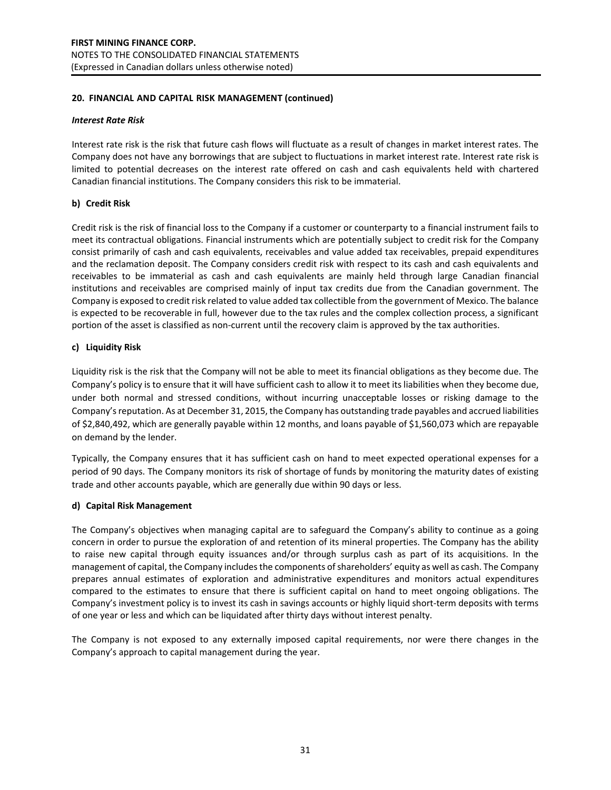### **20. FINANCIAL AND CAPITAL RISK MANAGEMENT (continued)**

#### *Interest Rate Risk*

Interest rate risk is the risk that future cash flows will fluctuate as a result of changes in market interest rates. The Company does not have any borrowings that are subject to fluctuations in market interest rate. Interest rate risk is limited to potential decreases on the interest rate offered on cash and cash equivalents held with chartered Canadian financial institutions. The Company considers this risk to be immaterial.

### **b) Credit Risk**

Credit risk is the risk of financial loss to the Company if a customer or counterparty to a financial instrument fails to meet its contractual obligations. Financial instruments which are potentially subject to credit risk for the Company consist primarily of cash and cash equivalents, receivables and value added tax receivables, prepaid expenditures and the reclamation deposit. The Company considers credit risk with respect to its cash and cash equivalents and receivables to be immaterial as cash and cash equivalents are mainly held through large Canadian financial institutions and receivables are comprised mainly of input tax credits due from the Canadian government. The Company is exposed to credit risk related to value added tax collectible from the government of Mexico. The balance is expected to be recoverable in full, however due to the tax rules and the complex collection process, a significant portion of the asset is classified as non-current until the recovery claim is approved by the tax authorities.

### **c) Liquidity Risk**

Liquidity risk is the risk that the Company will not be able to meet its financial obligations as they become due. The Company's policy is to ensure that it will have sufficient cash to allow it to meet its liabilities when they become due, under both normal and stressed conditions, without incurring unacceptable losses or risking damage to the Company's reputation. As at December 31, 2015, the Company has outstanding trade payables and accrued liabilities of \$2,840,492, which are generally payable within 12 months, and loans payable of \$1,560,073 which are repayable on demand by the lender.

Typically, the Company ensures that it has sufficient cash on hand to meet expected operational expenses for a period of 90 days. The Company monitors its risk of shortage of funds by monitoring the maturity dates of existing trade and other accounts payable, which are generally due within 90 days or less.

### **d) Capital Risk Management**

The Company's objectives when managing capital are to safeguard the Company's ability to continue as a going concern in order to pursue the exploration of and retention of its mineral properties. The Company has the ability to raise new capital through equity issuances and/or through surplus cash as part of its acquisitions. In the management of capital, the Company includes the components of shareholders' equity as well as cash. The Company prepares annual estimates of exploration and administrative expenditures and monitors actual expenditures compared to the estimates to ensure that there is sufficient capital on hand to meet ongoing obligations. The Company's investment policy is to invest its cash in savings accounts or highly liquid short-term deposits with terms of one year or less and which can be liquidated after thirty days without interest penalty.

The Company is not exposed to any externally imposed capital requirements, nor were there changes in the Company's approach to capital management during the year.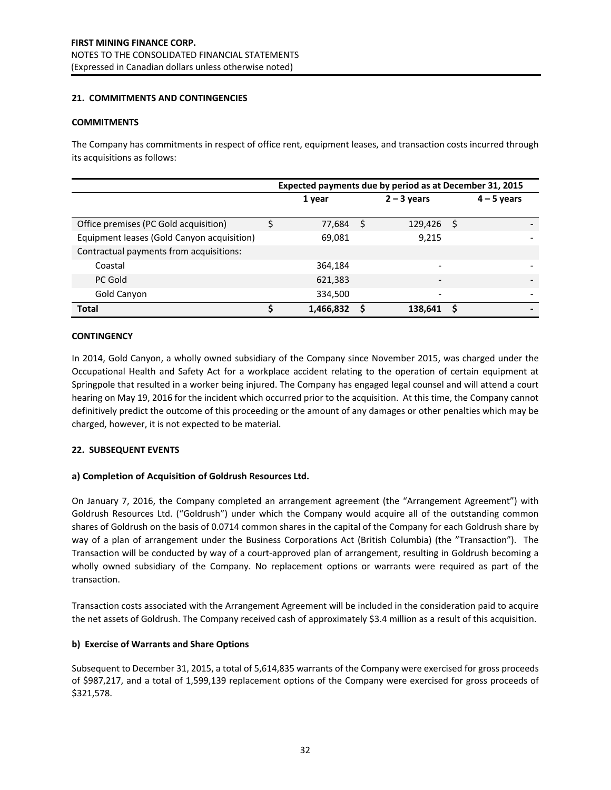### **21. COMMITMENTS AND CONTINGENCIES**

### **COMMITMENTS**

The Company has commitments in respect of office rent, equipment leases, and transaction costs incurred through its acquisitions as follows:

|                                            | Expected payments due by period as at December 31, 2015 |   |                          |  |                              |  |  |  |  |
|--------------------------------------------|---------------------------------------------------------|---|--------------------------|--|------------------------------|--|--|--|--|
|                                            | 1 year                                                  |   | $2 - 3$ years            |  | $4 - 5$ years                |  |  |  |  |
| Office premises (PC Gold acquisition)      | 77,684                                                  | S | 129,426                  |  |                              |  |  |  |  |
| Equipment leases (Gold Canyon acquisition) | 69,081                                                  |   | 9.215                    |  |                              |  |  |  |  |
| Contractual payments from acquisitions:    |                                                         |   |                          |  |                              |  |  |  |  |
| Coastal                                    | 364,184                                                 |   |                          |  |                              |  |  |  |  |
| PC Gold                                    | 621,383                                                 |   | $\overline{\phantom{a}}$ |  | $\qquad \qquad \blacksquare$ |  |  |  |  |
| Gold Canyon                                | 334,500                                                 |   |                          |  | $\overline{\phantom{0}}$     |  |  |  |  |
| <b>Total</b>                               | 1,466,832                                               |   | 138,641                  |  | -                            |  |  |  |  |

#### **CONTINGENCY**

In 2014, Gold Canyon, a wholly owned subsidiary of the Company since November 2015, was charged under the Occupational Health and Safety Act for a workplace accident relating to the operation of certain equipment at Springpole that resulted in a worker being injured. The Company has engaged legal counsel and will attend a court hearing on May 19, 2016 for the incident which occurred prior to the acquisition. At this time, the Company cannot definitively predict the outcome of this proceeding or the amount of any damages or other penalties which may be charged, however, it is not expected to be material.

### **22. SUBSEQUENT EVENTS**

### **a) Completion of Acquisition of Goldrush Resources Ltd.**

On January 7, 2016, the Company completed an arrangement agreement (the "Arrangement Agreement") with Goldrush Resources Ltd. ("Goldrush") under which the Company would acquire all of the outstanding common shares of Goldrush on the basis of 0.0714 common shares in the capital of the Company for each Goldrush share by way of a plan of arrangement under the Business Corporations Act (British Columbia) (the "Transaction"). The Transaction will be conducted by way of a court-approved plan of arrangement, resulting in Goldrush becoming a wholly owned subsidiary of the Company. No replacement options or warrants were required as part of the transaction.

Transaction costs associated with the Arrangement Agreement will be included in the consideration paid to acquire the net assets of Goldrush. The Company received cash of approximately \$3.4 million as a result of this acquisition.

### **b) Exercise of Warrants and Share Options**

Subsequent to December 31, 2015, a total of 5,614,835 warrants of the Company were exercised for gross proceeds of \$987,217, and a total of 1,599,139 replacement options of the Company were exercised for gross proceeds of \$321,578.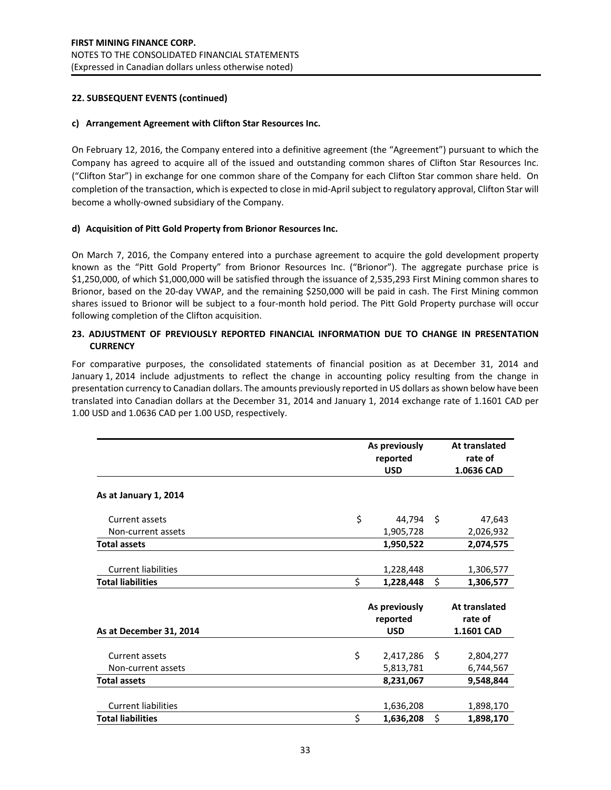### **22. SUBSEQUENT EVENTS (continued)**

### **c) Arrangement Agreement with Clifton Star Resources Inc.**

On February 12, 2016, the Company entered into a definitive agreement (the "Agreement") pursuant to which the Company has agreed to acquire all of the issued and outstanding common shares of Clifton Star Resources Inc. ("Clifton Star") in exchange for one common share of the Company for each Clifton Star common share held. On completion of the transaction, which is expected to close in mid-April subject to regulatory approval, Clifton Star will become a wholly-owned subsidiary of the Company.

### **d) Acquisition of Pitt Gold Property from Brionor Resources Inc.**

On March 7, 2016, the Company entered into a purchase agreement to acquire the gold development property known as the "Pitt Gold Property" from Brionor Resources Inc. ("Brionor"). The aggregate purchase price is \$1,250,000, of which \$1,000,000 will be satisfied through the issuance of 2,535,293 First Mining common shares to Brionor, based on the 20-day VWAP, and the remaining \$250,000 will be paid in cash. The First Mining common shares issued to Brionor will be subject to a four-month hold period. The Pitt Gold Property purchase will occur following completion of the Clifton acquisition.

### **23. ADJUSTMENT OF PREVIOUSLY REPORTED FINANCIAL INFORMATION DUE TO CHANGE IN PRESENTATION CURRENCY**

For comparative purposes, the consolidated statements of financial position as at December 31, 2014 and January 1, 2014 include adjustments to reflect the change in accounting policy resulting from the change in presentation currency to Canadian dollars. The amounts previously reported in US dollars as shown below have been translated into Canadian dollars at the December 31, 2014 and January 1, 2014 exchange rate of 1.1601 CAD per 1.00 USD and 1.0636 CAD per 1.00 USD, respectively.

|                                      | As previously<br>reported<br><b>USD</b> |     | At translated<br>rate of<br>1.0636 CAD        |
|--------------------------------------|-----------------------------------------|-----|-----------------------------------------------|
| As at January 1, 2014                |                                         |     |                                               |
| <b>Current assets</b>                | \$<br>44,794                            | -\$ | 47,643                                        |
| Non-current assets                   | 1,905,728                               |     | 2,026,932                                     |
| <b>Total assets</b>                  | 1,950,522                               |     | 2,074,575                                     |
| <b>Current liabilities</b>           | 1,228,448                               |     | 1,306,577                                     |
| <b>Total liabilities</b>             | \$<br>1,228,448                         | \$  | 1,306,577                                     |
| As at December 31, 2014              | As previously<br>reported<br><b>USD</b> |     | <b>At translated</b><br>rate of<br>1.1601 CAD |
| Current assets<br>Non-current assets | \$<br>2,417,286<br>5,813,781            | -\$ | 2,804,277<br>6,744,567                        |
| <b>Total assets</b>                  | 8,231,067                               |     | 9,548,844                                     |
| <b>Current liabilities</b>           | 1,636,208                               |     | 1,898,170                                     |
| <b>Total liabilities</b>             | \$<br>1,636,208                         | \$  | 1,898,170                                     |